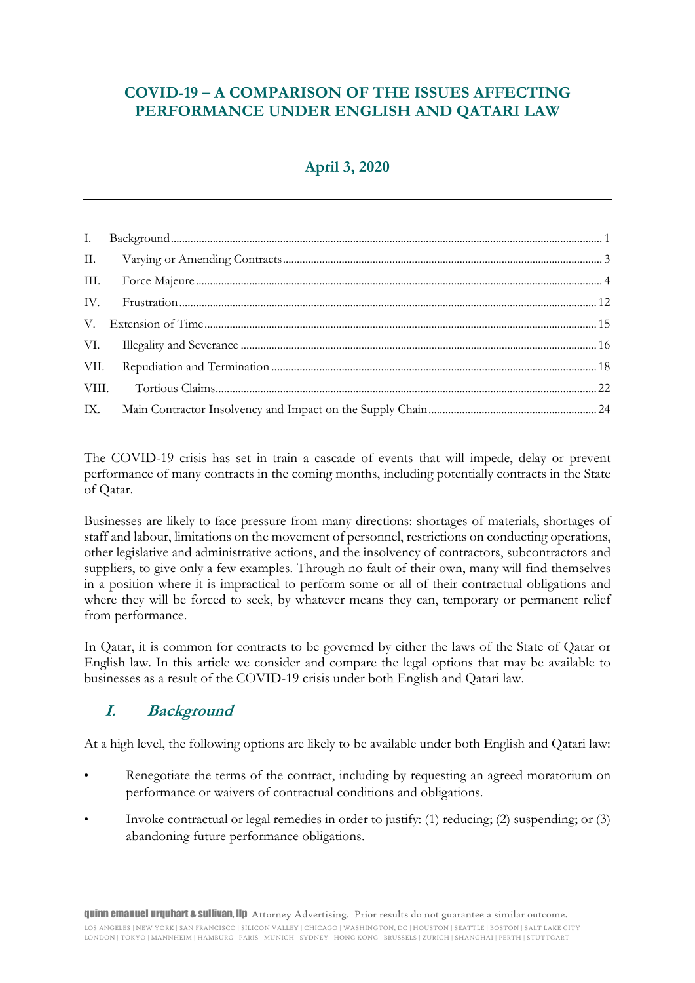## **COVID-19 – A COMPARISON OF THE ISSUES AFFECTING PERFORMANCE UNDER ENGLISH AND QATARI LAW**

## **April 3, 2020**

The COVID-19 crisis has set in train a cascade of events that will impede, delay or prevent performance of many contracts in the coming months, including potentially contracts in the State of Qatar.

Businesses are likely to face pressure from many directions: shortages of materials, shortages of staff and labour, limitations on the movement of personnel, restrictions on conducting operations, other legislative and administrative actions, and the insolvency of contractors, subcontractors and suppliers, to give only a few examples. Through no fault of their own, many will find themselves in a position where it is impractical to perform some or all of their contractual obligations and where they will be forced to seek, by whatever means they can, temporary or permanent relief from performance.

In Qatar, it is common for contracts to be governed by either the laws of the State of Qatar or English law. In this article we consider and compare the legal options that may be available to businesses as a result of the COVID-19 crisis under both English and Qatari law.

## **I. Background**

At a high level, the following options are likely to be available under both English and Qatari law:

- Renegotiate the terms of the contract, including by requesting an agreed moratorium on performance or waivers of contractual conditions and obligations.
- Invoke contractual or legal remedies in order to justify: (1) reducing; (2) suspending; or (3) abandoning future performance obligations.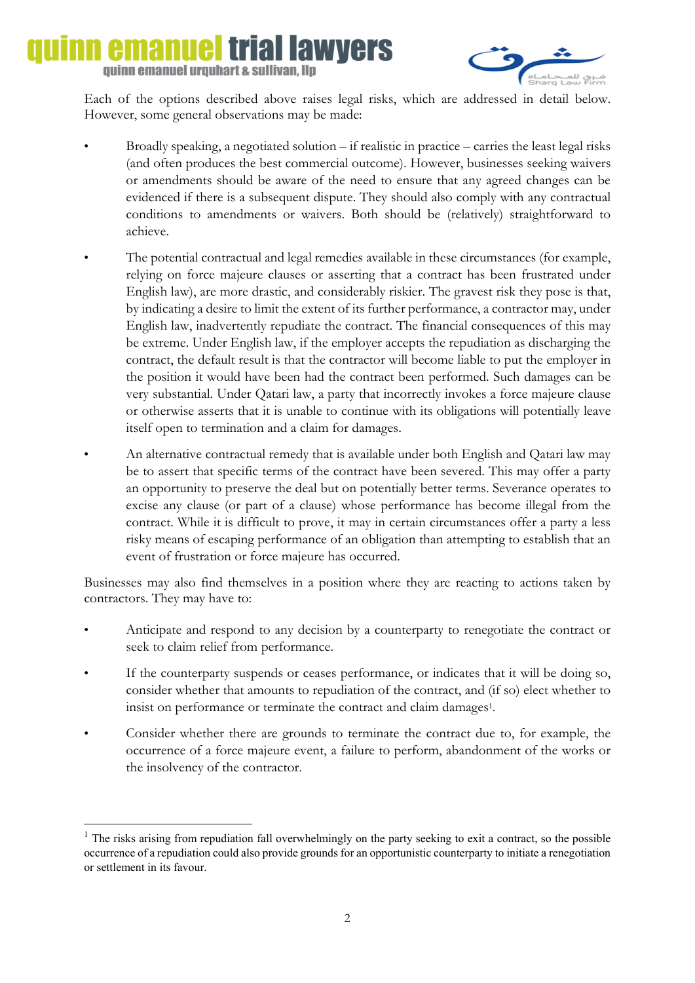## emanu iai lawvers quinn emanuel urquhart & sullivan, llp



Each of the options described above raises legal risks, which are addressed in detail below. However, some general observations may be made:

- Broadly speaking, a negotiated solution if realistic in practice carries the least legal risks (and often produces the best commercial outcome). However, businesses seeking waivers or amendments should be aware of the need to ensure that any agreed changes can be evidenced if there is a subsequent dispute. They should also comply with any contractual conditions to amendments or waivers. Both should be (relatively) straightforward to achieve.
- The potential contractual and legal remedies available in these circumstances (for example, relying on force majeure clauses or asserting that a contract has been frustrated under English law), are more drastic, and considerably riskier. The gravest risk they pose is that, by indicating a desire to limit the extent of its further performance, a contractor may, under English law, inadvertently repudiate the contract. The financial consequences of this may be extreme. Under English law, if the employer accepts the repudiation as discharging the contract, the default result is that the contractor will become liable to put the employer in the position it would have been had the contract been performed. Such damages can be very substantial. Under Qatari law, a party that incorrectly invokes a force majeure clause or otherwise asserts that it is unable to continue with its obligations will potentially leave itself open to termination and a claim for damages.
- An alternative contractual remedy that is available under both English and Qatari law may be to assert that specific terms of the contract have been severed. This may offer a party an opportunity to preserve the deal but on potentially better terms. Severance operates to excise any clause (or part of a clause) whose performance has become illegal from the contract. While it is difficult to prove, it may in certain circumstances offer a party a less risky means of escaping performance of an obligation than attempting to establish that an event of frustration or force majeure has occurred.

Businesses may also find themselves in a position where they are reacting to actions taken by contractors. They may have to:

- Anticipate and respond to any decision by a counterparty to renegotiate the contract or seek to claim relief from performance.
- If the counterparty suspends or ceases performance, or indicates that it will be doing so, consider whether that amounts to repudiation of the contract, and (if so) elect whether to insist on performance or terminate the contract and claim damages<sup>1</sup>.
- Consider whether there are grounds to terminate the contract due to, for example, the occurrence of a force majeure event, a failure to perform, abandonment of the works or the insolvency of the contractor.

**.** 

<sup>&</sup>lt;sup>1</sup> The risks arising from repudiation fall overwhelmingly on the party seeking to exit a contract, so the possible occurrence of a repudiation could also provide grounds for an opportunistic counterparty to initiate a renegotiation or settlement in its favour.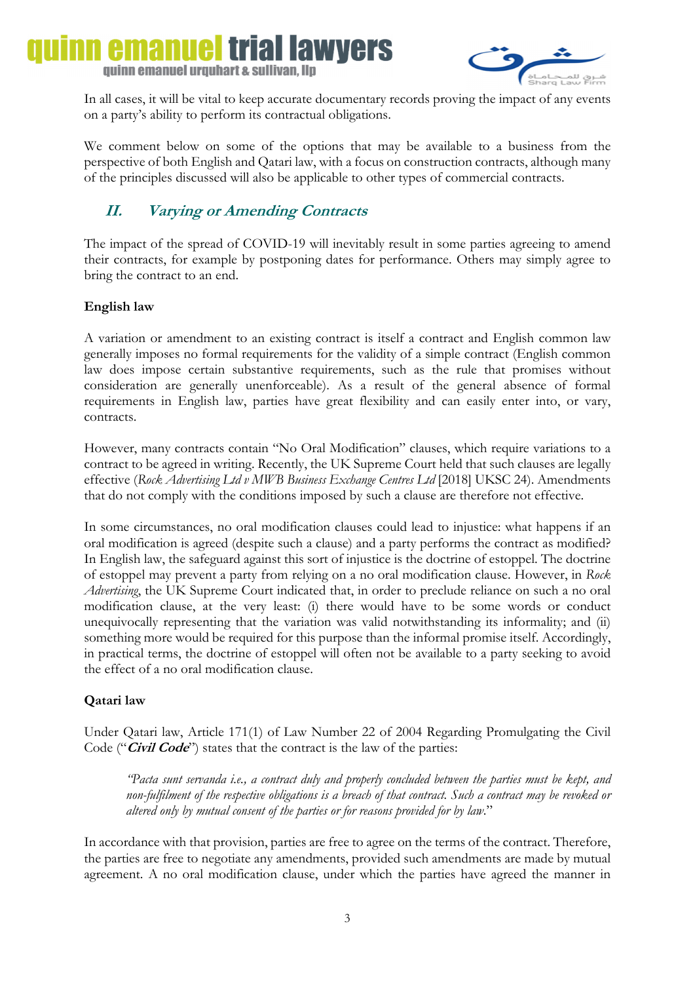# **Il lawvers** quinn emanuel urquhart & sullivan, llp



In all cases, it will be vital to keep accurate documentary records proving the impact of any events on a party's ability to perform its contractual obligations.

We comment below on some of the options that may be available to a business from the perspective of both English and Qatari law, with a focus on construction contracts, although many of the principles discussed will also be applicable to other types of commercial contracts.

## **II. Varying or Amending Contracts**

The impact of the spread of COVID-19 will inevitably result in some parties agreeing to amend their contracts, for example by postponing dates for performance. Others may simply agree to bring the contract to an end.

## **English law**

A variation or amendment to an existing contract is itself a contract and English common law generally imposes no formal requirements for the validity of a simple contract (English common law does impose certain substantive requirements, such as the rule that promises without consideration are generally unenforceable). As a result of the general absence of formal requirements in English law, parties have great flexibility and can easily enter into, or vary, contracts.

However, many contracts contain "No Oral Modification" clauses, which require variations to a contract to be agreed in writing. Recently, the UK Supreme Court held that such clauses are legally effective (*Rock Advertising Ltd v MWB Business Exchange Centres Ltd* [2018] UKSC 24). Amendments that do not comply with the conditions imposed by such a clause are therefore not effective.

In some circumstances, no oral modification clauses could lead to injustice: what happens if an oral modification is agreed (despite such a clause) and a party performs the contract as modified? In English law, the safeguard against this sort of injustice is the doctrine of estoppel. The doctrine of estoppel may prevent a party from relying on a no oral modification clause. However, in *Rock Advertising*, the UK Supreme Court indicated that, in order to preclude reliance on such a no oral modification clause, at the very least: (i) there would have to be some words or conduct unequivocally representing that the variation was valid notwithstanding its informality; and (ii) something more would be required for this purpose than the informal promise itself. Accordingly, in practical terms, the doctrine of estoppel will often not be available to a party seeking to avoid the effect of a no oral modification clause.

## **Qatari law**

Under Qatari law, Article 171(1) of Law Number 22 of 2004 Regarding Promulgating the Civil Code ("**Civil Code**") states that the contract is the law of the parties:

*"Pacta sunt servanda i.e., a contract duly and properly concluded between the parties must be kept, and non-fulfilment of the respective obligations is a breach of that contract. Such a contract may be revoked or altered only by mutual consent of the parties or for reasons provided for by law*."

In accordance with that provision, parties are free to agree on the terms of the contract. Therefore, the parties are free to negotiate any amendments, provided such amendments are made by mutual agreement. A no oral modification clause, under which the parties have agreed the manner in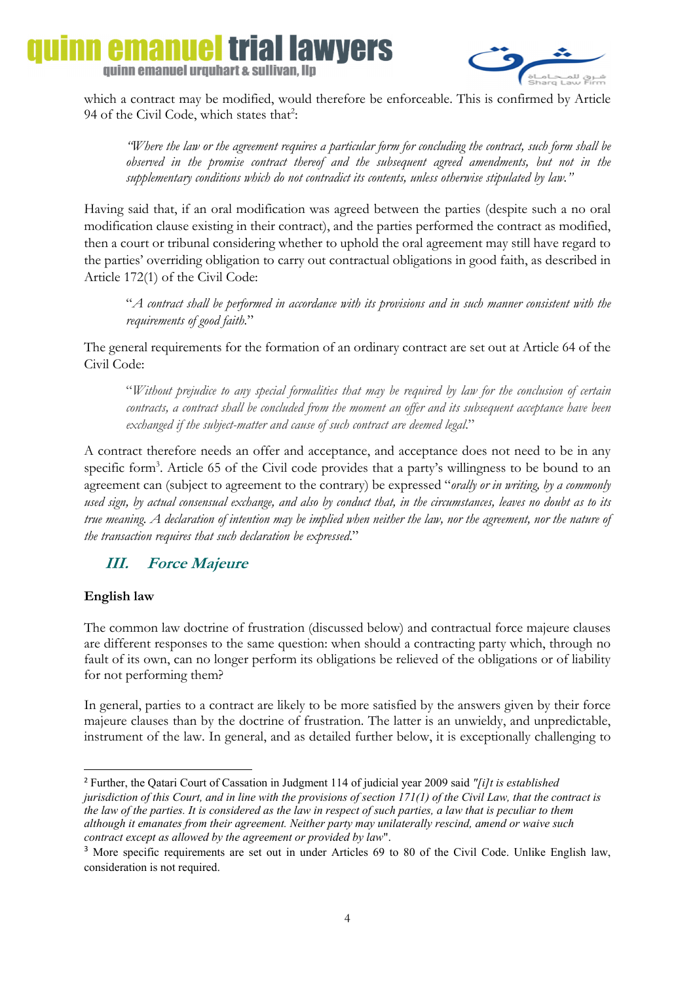### triai lawyers nanue quinn emanuel urquhart & sullivan, llp



 which a contract may be modified, would therefore be enforceable. This is confirmed by Article 94 of the Civil Code, which states that<sup>2</sup>:

*"Where the law or the agreement requires a particular form for concluding the contract, such form shall be observed in the promise contract thereof and the subsequent agreed amendments, but not in the supplementary conditions which do not contradict its contents, unless otherwise stipulated by law."*

Having said that, if an oral modification was agreed between the parties (despite such a no oral modification clause existing in their contract), and the parties performed the contract as modified, then a court or tribunal considering whether to uphold the oral agreement may still have regard to the parties' overriding obligation to carry out contractual obligations in good faith, as described in Article 172(1) of the Civil Code:

"*A contract shall be performed in accordance with its provisions and in such manner consistent with the requirements of good faith.*"

The general requirements for the formation of an ordinary contract are set out at Article 64 of the Civil Code:

"*Without prejudice to any special formalities that may be required by law for the conclusion of certain contracts, a contract shall be concluded from the moment an offer and its subsequent acceptance have been exchanged if the subject-matter and cause of such contract are deemed legal*."

A contract therefore needs an offer and acceptance, and acceptance does not need to be in any specific form<sup>3</sup>. Article 65 of the Civil code provides that a party's willingness to be bound to an agreement can (subject to agreement to the contrary) be expressed "*orally or in writing, by a commonly used sign, by actual consensual exchange, and also by conduct that, in the circumstances, leaves no doubt as to its true meaning. A declaration of intention may be implied when neither the law, nor the agreement, nor the nature of the transaction requires that such declaration be expressed*."

## **III. Force Majeure**

## **English law**

1

The common law doctrine of frustration (discussed below) and contractual force majeure clauses are different responses to the same question: when should a contracting party which, through no fault of its own, can no longer perform its obligations be relieved of the obligations or of liability for not performing them?

In general, parties to a contract are likely to be more satisfied by the answers given by their force majeure clauses than by the doctrine of frustration. The latter is an unwieldy, and unpredictable, instrument of the law. In general, and as detailed further below, it is exceptionally challenging to

<sup>2</sup> Further, the Qatari Court of Cassation in Judgment 114 of judicial year 2009 said *"[i]t is established jurisdiction of this Court, and in line with the provisions of section 171(1) of the Civil Law, that the contract is the law of the parties. It is considered as the law in respect of such parties, a law that is peculiar to them although it emanates from their agreement. Neither party may unilaterally rescind, amend or waive such contract except as allowed by the agreement or provided by law*".

<sup>&</sup>lt;sup>3</sup> More specific requirements are set out in under Articles 69 to 80 of the Civil Code. Unlike English law, consideration is not required.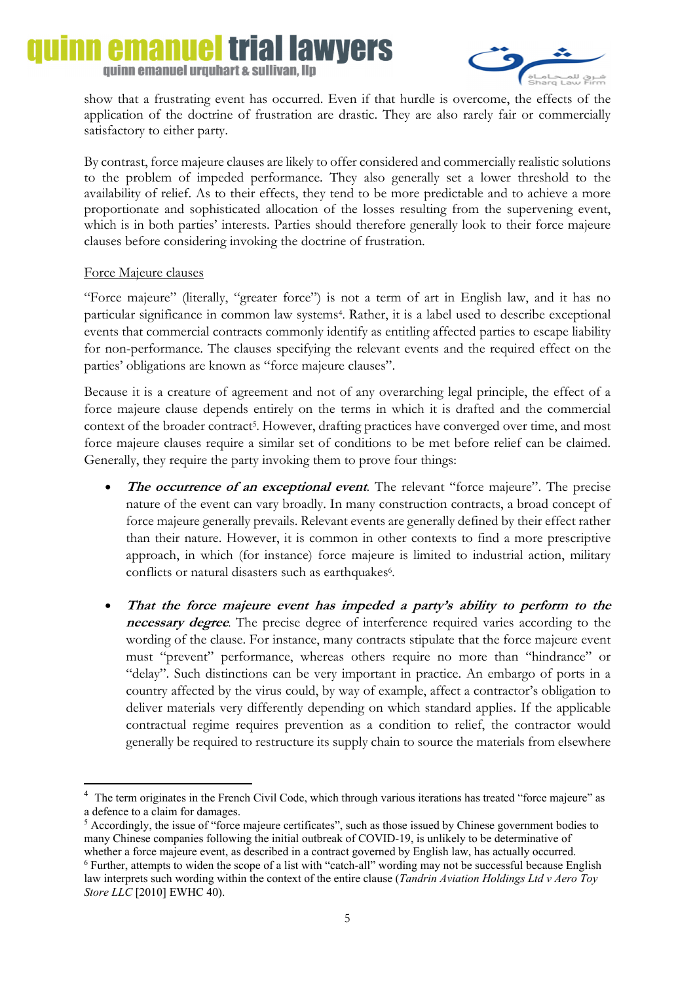#### emanue trial lawyers quinn emanuel urquhart & sullivan, llp



 show that a frustrating event has occurred. Even if that hurdle is overcome, the effects of the application of the doctrine of frustration are drastic. They are also rarely fair or commercially satisfactory to either party.

By contrast, force majeure clauses are likely to offer considered and commercially realistic solutions to the problem of impeded performance. They also generally set a lower threshold to the availability of relief. As to their effects, they tend to be more predictable and to achieve a more proportionate and sophisticated allocation of the losses resulting from the supervening event, which is in both parties' interests. Parties should therefore generally look to their force majeure clauses before considering invoking the doctrine of frustration.

#### Force Majeure clauses

**.** 

"Force majeure" (literally, "greater force") is not a term of art in English law, and it has no particular significance in common law systems4. Rather, it is a label used to describe exceptional events that commercial contracts commonly identify as entitling affected parties to escape liability for non-performance. The clauses specifying the relevant events and the required effect on the parties' obligations are known as "force majeure clauses".

Because it is a creature of agreement and not of any overarching legal principle, the effect of a force majeure clause depends entirely on the terms in which it is drafted and the commercial context of the broader contract<sup>5</sup>. However, drafting practices have converged over time, and most force majeure clauses require a similar set of conditions to be met before relief can be claimed. Generally, they require the party invoking them to prove four things:

- **The occurrence of an exceptional event**. The relevant "force majeure". The precise nature of the event can vary broadly. In many construction contracts, a broad concept of force majeure generally prevails. Relevant events are generally defined by their effect rather than their nature. However, it is common in other contexts to find a more prescriptive approach, in which (for instance) force majeure is limited to industrial action, military conflicts or natural disasters such as earthquakes6.
- **That the force majeure event has impeded a party's ability to perform to the necessary degree**. The precise degree of interference required varies according to the wording of the clause. For instance, many contracts stipulate that the force majeure event must "prevent" performance, whereas others require no more than "hindrance" or "delay". Such distinctions can be very important in practice. An embargo of ports in a country affected by the virus could, by way of example, affect a contractor's obligation to deliver materials very differently depending on which standard applies. If the applicable contractual regime requires prevention as a condition to relief, the contractor would generally be required to restructure its supply chain to source the materials from elsewhere

<sup>4</sup> The term originates in the French Civil Code, which through various iterations has treated "force majeure" as a defence to a claim for damages.

<sup>&</sup>lt;sup>5</sup> Accordingly, the issue of "force majeure certificates", such as those issued by Chinese government bodies to many Chinese companies following the initial outbreak of COVID-19, is unlikely to be determinative of whether a force majeure event, as described in a contract governed by English law, has actually occurred. <sup>6</sup> Further, attempts to widen the scope of a list with "catch-all" wording may not be successful because English law interprets such wording within the context of the entire clause (*Tandrin Aviation Holdings Ltd v Aero Toy Store LLC* [2010] EWHC 40).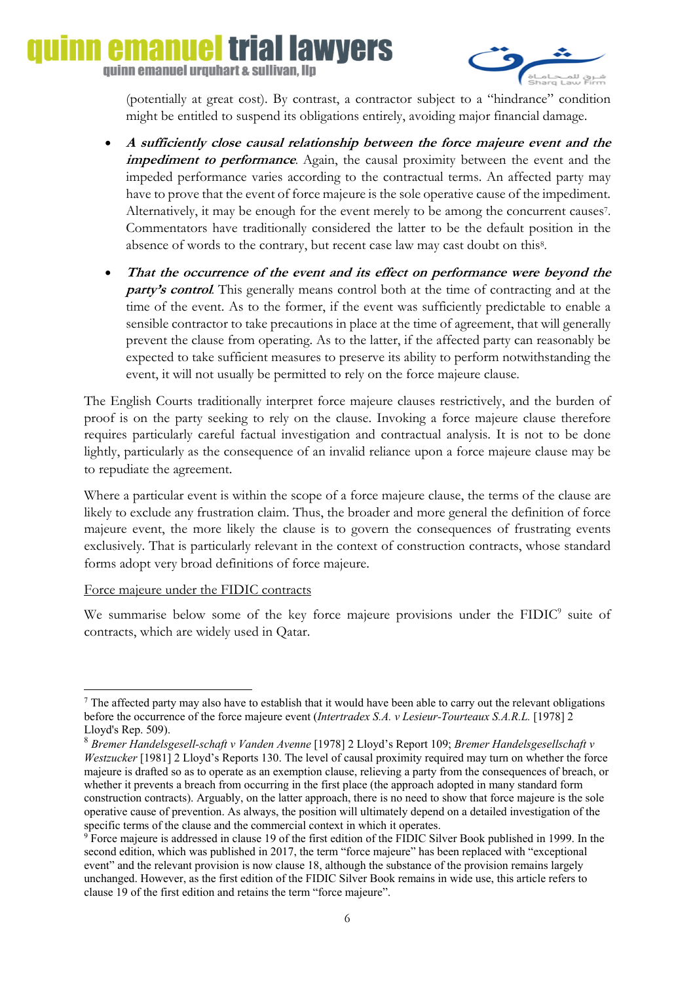# **emanuel trial lawyers** quinn emanuel urquhart & sullivan, llp



(potentially at great cost). By contrast, a contractor subject to a "hindrance" condition might be entitled to suspend its obligations entirely, avoiding major financial damage.

- **A sufficiently close causal relationship between the force majeure event and the impediment to performance**. Again, the causal proximity between the event and the impeded performance varies according to the contractual terms. An affected party may have to prove that the event of force majeure is the sole operative cause of the impediment. Alternatively, it may be enough for the event merely to be among the concurrent causes7. Commentators have traditionally considered the latter to be the default position in the absence of words to the contrary, but recent case law may cast doubt on this<sup>8</sup>.
- **That the occurrence of the event and its effect on performance were beyond the party's control**. This generally means control both at the time of contracting and at the time of the event. As to the former, if the event was sufficiently predictable to enable a sensible contractor to take precautions in place at the time of agreement, that will generally prevent the clause from operating. As to the latter, if the affected party can reasonably be expected to take sufficient measures to preserve its ability to perform notwithstanding the event, it will not usually be permitted to rely on the force majeure clause.

The English Courts traditionally interpret force majeure clauses restrictively, and the burden of proof is on the party seeking to rely on the clause. Invoking a force majeure clause therefore requires particularly careful factual investigation and contractual analysis. It is not to be done lightly, particularly as the consequence of an invalid reliance upon a force majeure clause may be to repudiate the agreement.

Where a particular event is within the scope of a force majeure clause, the terms of the clause are likely to exclude any frustration claim. Thus, the broader and more general the definition of force majeure event, the more likely the clause is to govern the consequences of frustrating events exclusively. That is particularly relevant in the context of construction contracts, whose standard forms adopt very broad definitions of force majeure.

#### Force majeure under the FIDIC contracts

**.** 

We summarise below some of the key force majeure provisions under the FIDIC<sup>9</sup> suite of contracts, which are widely used in Qatar.

 $<sup>7</sup>$  The affected party may also have to establish that it would have been able to carry out the relevant obligations</sup> before the occurrence of the force majeure event (*Intertradex S.A. v Lesieur-Tourteaux S.A.R.L.* [1978] 2 Lloyd's Rep. 509).

<sup>8</sup> *Bremer Handelsgesell-schaft v Vanden Avenne* [1978] 2 Lloyd's Report 109; *Bremer Handelsgesellschaft v Westzucker* [1981] 2 Lloyd's Reports 130. The level of causal proximity required may turn on whether the force majeure is drafted so as to operate as an exemption clause, relieving a party from the consequences of breach, or whether it prevents a breach from occurring in the first place (the approach adopted in many standard form construction contracts). Arguably, on the latter approach, there is no need to show that force majeure is the sole operative cause of prevention. As always, the position will ultimately depend on a detailed investigation of the specific terms of the clause and the commercial context in which it operates.

<sup>&</sup>lt;sup>9</sup> Force majeure is addressed in clause 19 of the first edition of the FIDIC Silver Book published in 1999. In the second edition, which was published in 2017, the term "force majeure" has been replaced with "exceptional event" and the relevant provision is now clause 18, although the substance of the provision remains largely unchanged. However, as the first edition of the FIDIC Silver Book remains in wide use, this article refers to clause 19 of the first edition and retains the term "force majeure".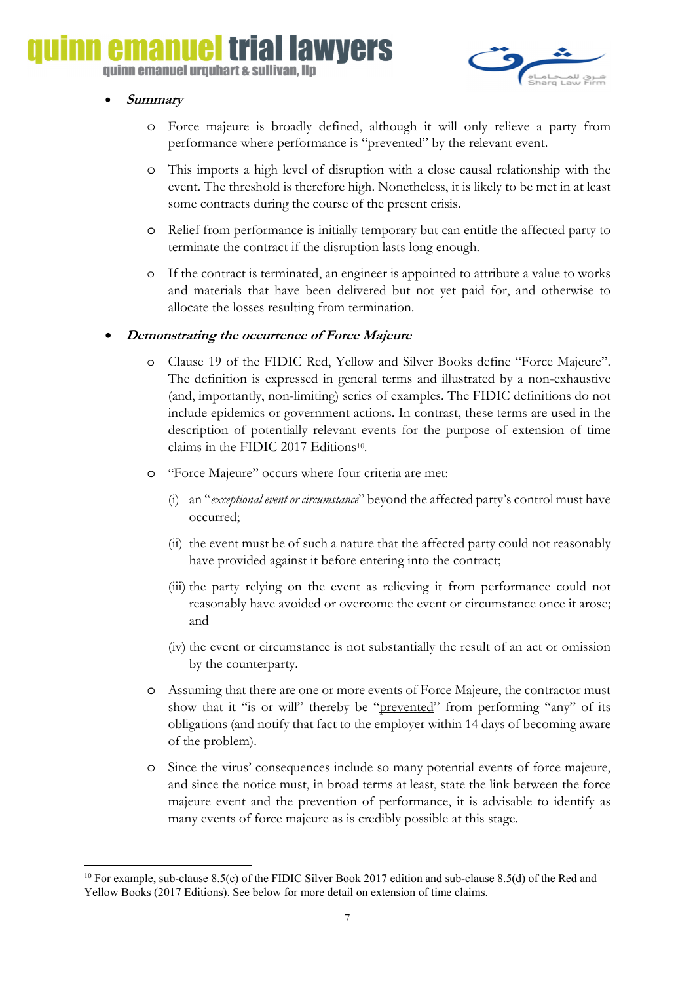# emanuel trial lawyers

quinn emanuel urquhart & sullivan, llp



#### • **Summary**

- o Force majeure is broadly defined, although it will only relieve a party from performance where performance is "prevented" by the relevant event.
- This imports a high level of disruption with a close causal relationship with the event. The threshold is therefore high. Nonetheless, it is likely to be met in at least some contracts during the course of the present crisis.
- o Relief from performance is initially temporary but can entitle the affected party to terminate the contract if the disruption lasts long enough.
- If the contract is terminated, an engineer is appointed to attribute a value to works and materials that have been delivered but not yet paid for, and otherwise to allocate the losses resulting from termination.

### • **Demonstrating the occurrence of Force Majeure**

- o Clause 19 of the FIDIC Red, Yellow and Silver Books define "Force Majeure". The definition is expressed in general terms and illustrated by a non-exhaustive (and, importantly, non-limiting) series of examples. The FIDIC definitions do not include epidemics or government actions. In contrast, these terms are used in the description of potentially relevant events for the purpose of extension of time claims in the FIDIC 2017 Editions<sup>10</sup>.
- o "Force Majeure" occurs where four criteria are met:
	- (i) an "*exceptional event or circumstance*" beyond the affected party's control must have occurred;
	- (ii) the event must be of such a nature that the affected party could not reasonably have provided against it before entering into the contract;
	- (iii) the party relying on the event as relieving it from performance could not reasonably have avoided or overcome the event or circumstance once it arose; and
	- (iv) the event or circumstance is not substantially the result of an act or omission by the counterparty.
- o Assuming that there are one or more events of Force Majeure, the contractor must show that it "is or will" thereby be "prevented" from performing "any" of its obligations (and notify that fact to the employer within 14 days of becoming aware of the problem).
- o Since the virus' consequences include so many potential events of force majeure, and since the notice must, in broad terms at least, state the link between the force majeure event and the prevention of performance, it is advisable to identify as many events of force majeure as is credibly possible at this stage.

**<sup>.</sup>** <sup>10</sup> For example, sub-clause 8.5(c) of the FIDIC Silver Book 2017 edition and sub-clause 8.5(d) of the Red and Yellow Books (2017 Editions). See below for more detail on extension of time claims.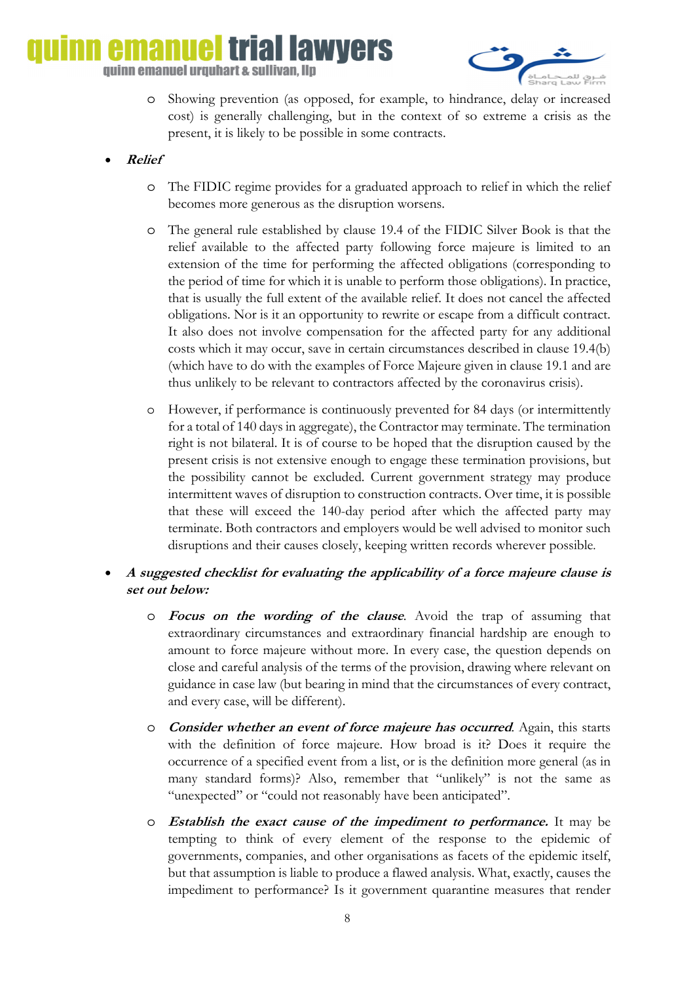# iai lawvers quinn emanuel urquhart & sullivan, llp



- o Showing prevention (as opposed, for example, to hindrance, delay or increased cost) is generally challenging, but in the context of so extreme a crisis as the present, it is likely to be possible in some contracts.
- **Relief**
	- o The FIDIC regime provides for a graduated approach to relief in which the relief becomes more generous as the disruption worsens.
	- o The general rule established by clause 19.4 of the FIDIC Silver Book is that the relief available to the affected party following force majeure is limited to an extension of the time for performing the affected obligations (corresponding to the period of time for which it is unable to perform those obligations). In practice, that is usually the full extent of the available relief. It does not cancel the affected obligations. Nor is it an opportunity to rewrite or escape from a difficult contract. It also does not involve compensation for the affected party for any additional costs which it may occur, save in certain circumstances described in clause 19.4(b) (which have to do with the examples of Force Majeure given in clause 19.1 and are thus unlikely to be relevant to contractors affected by the coronavirus crisis).
	- o However, if performance is continuously prevented for 84 days (or intermittently for a total of 140 days in aggregate), the Contractor may terminate. The termination right is not bilateral. It is of course to be hoped that the disruption caused by the present crisis is not extensive enough to engage these termination provisions, but the possibility cannot be excluded. Current government strategy may produce intermittent waves of disruption to construction contracts. Over time, it is possible that these will exceed the 140-day period after which the affected party may terminate. Both contractors and employers would be well advised to monitor such disruptions and their causes closely, keeping written records wherever possible.
- **A suggested checklist for evaluating the applicability of a force majeure clause is set out below:**
	- o **Focus on the wording of the clause**. Avoid the trap of assuming that extraordinary circumstances and extraordinary financial hardship are enough to amount to force majeure without more. In every case, the question depends on close and careful analysis of the terms of the provision, drawing where relevant on guidance in case law (but bearing in mind that the circumstances of every contract, and every case, will be different).
	- o **Consider whether an event of force majeure has occurred**. Again, this starts with the definition of force majeure. How broad is it? Does it require the occurrence of a specified event from a list, or is the definition more general (as in many standard forms)? Also, remember that "unlikely" is not the same as "unexpected" or "could not reasonably have been anticipated".
	- o **Establish the exact cause of the impediment to performance.** It may be tempting to think of every element of the response to the epidemic of governments, companies, and other organisations as facets of the epidemic itself, but that assumption is liable to produce a flawed analysis. What, exactly, causes the impediment to performance? Is it government quarantine measures that render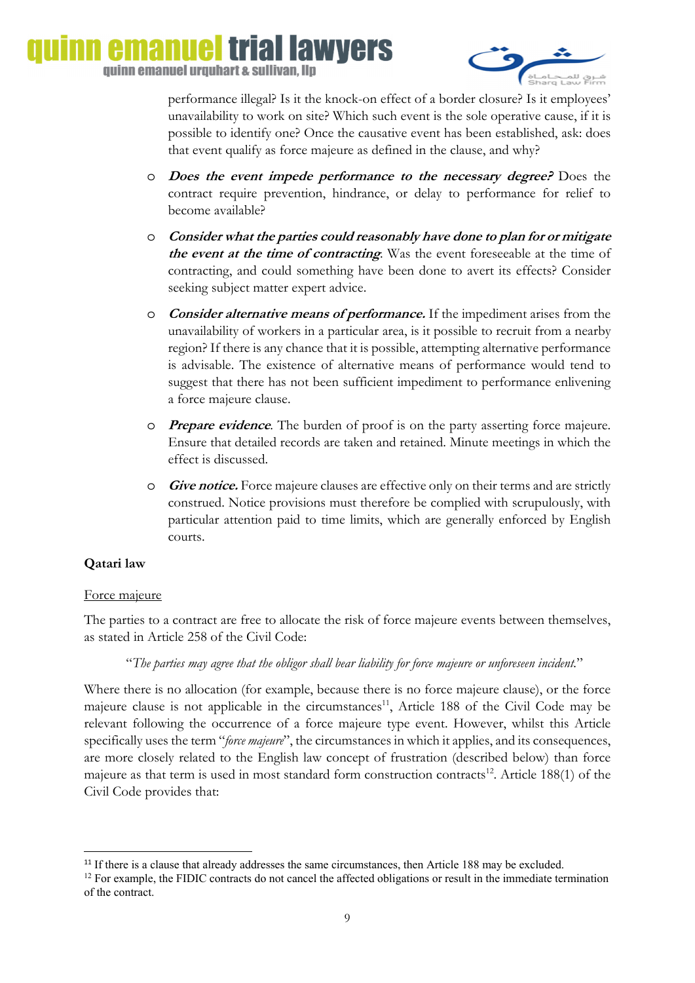

performance illegal? Is it the knock-on effect of a border closure? Is it employees' unavailability to work on site? Which such event is the sole operative cause, if it is possible to identify one? Once the causative event has been established, ask: does that event qualify as force majeure as defined in the clause, and why?

- o **Does the event impede performance to the necessary degree?** Does the contract require prevention, hindrance, or delay to performance for relief to become available?
- o **Consider what the parties could reasonably have done to plan for or mitigate the event at the time of contracting**. Was the event foreseeable at the time of contracting, and could something have been done to avert its effects? Consider seeking subject matter expert advice.
- o **Consider alternative means of performance.** If the impediment arises from the unavailability of workers in a particular area, is it possible to recruit from a nearby region? If there is any chance that it is possible, attempting alternative performance is advisable. The existence of alternative means of performance would tend to suggest that there has not been sufficient impediment to performance enlivening a force majeure clause.
- o **Prepare evidence**. The burden of proof is on the party asserting force majeure. Ensure that detailed records are taken and retained. Minute meetings in which the effect is discussed.
- o **Give notice.** Force majeure clauses are effective only on their terms and are strictly construed. Notice provisions must therefore be complied with scrupulously, with particular attention paid to time limits, which are generally enforced by English courts.

## **Qatari law**

1

## Force majeure

The parties to a contract are free to allocate the risk of force majeure events between themselves, as stated in Article 258 of the Civil Code:

## "*The parties may agree that the obligor shall bear liability for force majeure or unforeseen incident.*"

Where there is no allocation (for example, because there is no force majeure clause), or the force majeure clause is not applicable in the circumstances<sup>11</sup>, Article 188 of the Civil Code may be relevant following the occurrence of a force majeure type event. However, whilst this Article specifically uses the term "*force majeure*", the circumstances in which it applies, and its consequences, are more closely related to the English law concept of frustration (described below) than force majeure as that term is used in most standard form construction contracts<sup>12</sup>. Article 188(1) of the Civil Code provides that:

<sup>&</sup>lt;sup>11</sup> If there is a clause that already addresses the same circumstances, then Article 188 may be excluded. <sup>12</sup> For example, the FIDIC contracts do not cancel the affected obligations or result in the immediate terminatio of the contract.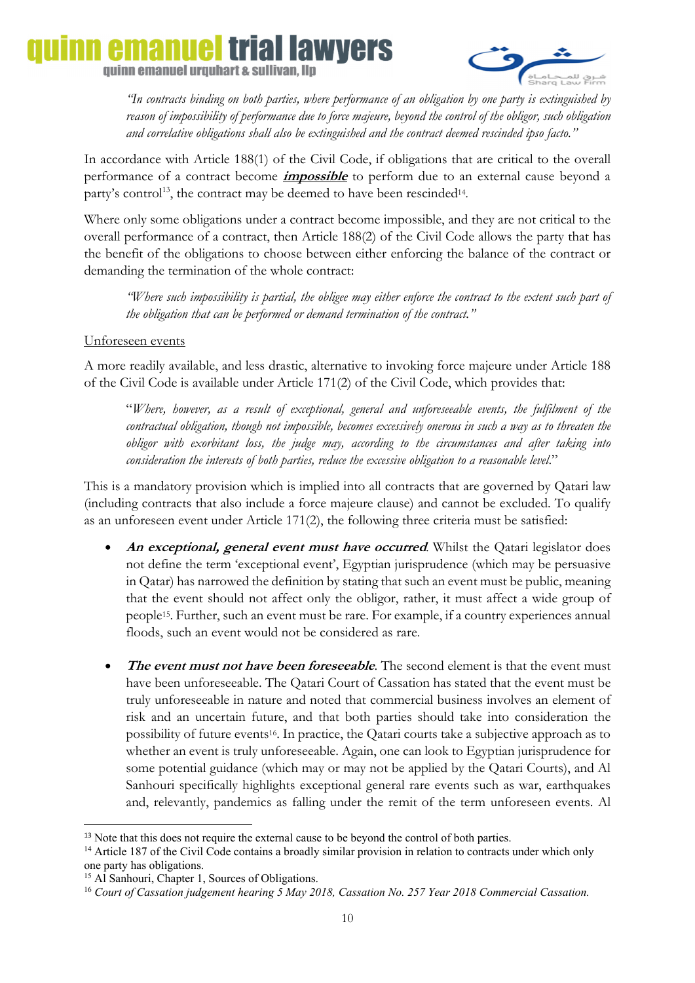# **emanuel trial lawyers** quinn emanuel urquhart & sullivan, llp



*"In contracts binding on both parties, where performance of an obligation by one party is extinguished by reason of impossibility of performance due to force majeure, beyond the control of the obligor, such obligation and correlative obligations shall also be extinguished and the contract deemed rescinded ipso facto."* 

In accordance with Article 188(1) of the Civil Code, if obligations that are critical to the overall performance of a contract become **impossible** to perform due to an external cause beyond a party's control<sup>13</sup>, the contract may be deemed to have been rescinded<sup>14</sup>.

Where only some obligations under a contract become impossible, and they are not critical to the overall performance of a contract, then Article 188(2) of the Civil Code allows the party that has the benefit of the obligations to choose between either enforcing the balance of the contract or demanding the termination of the whole contract:

*"Where such impossibility is partial, the obligee may either enforce the contract to the extent such part of the obligation that can be performed or demand termination of the contract."* 

### Unforeseen events

A more readily available, and less drastic, alternative to invoking force majeure under Article 188 of the Civil Code is available under Article 171(2) of the Civil Code, which provides that:

"*Where, however, as a result of exceptional, general and unforeseeable events, the fulfilment of the contractual obligation, though not impossible, becomes excessively onerous in such a way as to threaten the obligor with exorbitant loss, the judge may, according to the circumstances and after taking into consideration the interests of both parties, reduce the excessive obligation to a reasonable level*."

This is a mandatory provision which is implied into all contracts that are governed by Qatari law (including contracts that also include a force majeure clause) and cannot be excluded. To qualify as an unforeseen event under Article 171(2), the following three criteria must be satisfied:

- **An exceptional, general event must have occurred**. Whilst the Qatari legislator does not define the term 'exceptional event', Egyptian jurisprudence (which may be persuasive in Qatar) has narrowed the definition by stating that such an event must be public, meaning that the event should not affect only the obligor, rather, it must affect a wide group of people15. Further, such an event must be rare. For example, if a country experiences annual floods, such an event would not be considered as rare.
- The event must not have been foreseeable. The second element is that the event must have been unforeseeable. The Qatari Court of Cassation has stated that the event must be truly unforeseeable in nature and noted that commercial business involves an element of risk and an uncertain future, and that both parties should take into consideration the possibility of future events<sup>16</sup>. In practice, the Qatari courts take a subjective approach as to whether an event is truly unforeseeable. Again, one can look to Egyptian jurisprudence for some potential guidance (which may or may not be applied by the Qatari Courts), and Al Sanhouri specifically highlights exceptional general rare events such as war, earthquakes and, relevantly, pandemics as falling under the remit of the term unforeseen events. Al

**<sup>.</sup>** <sup>13</sup> Note that this does not require the external cause to be beyond the control of both parties.

<sup>&</sup>lt;sup>14</sup> Article 187 of the Civil Code contains a broadly similar provision in relation to contracts under which only one party has obligations.

<sup>&</sup>lt;sup>15</sup> Al Sanhouri, Chapter 1, Sources of Obligations.

<sup>16</sup> *Court of Cassation judgement hearing 5 May 2018, Cassation No. 257 Year 2018 Commercial Cassation.*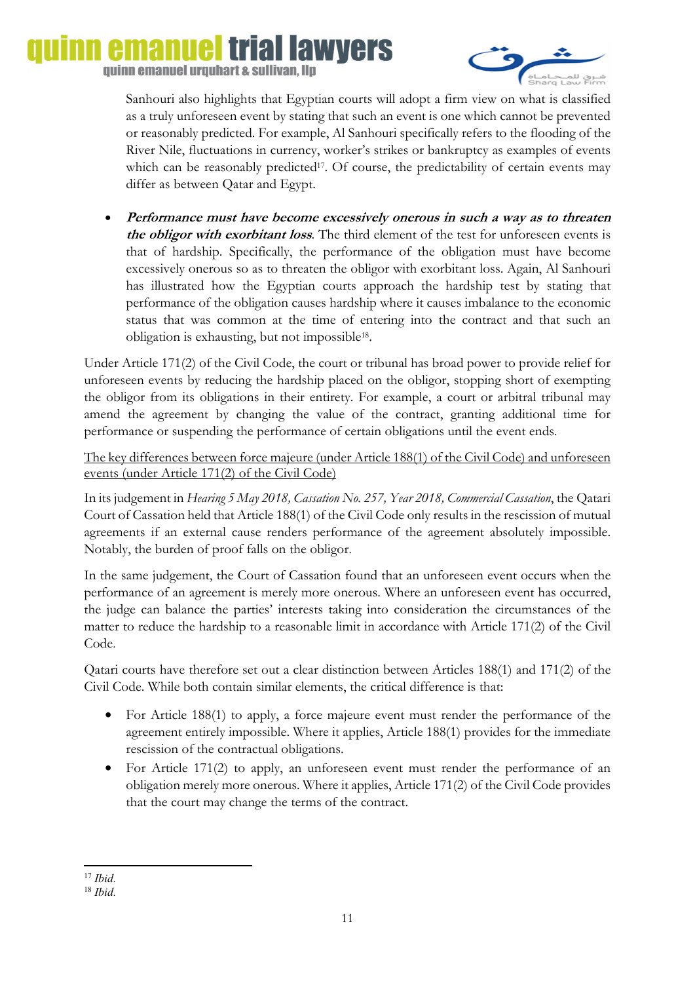## triai lawvers emanue quinn emanuel urquhart & sullivan, llp



Sanhouri also highlights that Egyptian courts will adopt a firm view on what is classified as a truly unforeseen event by stating that such an event is one which cannot be prevented or reasonably predicted. For example, Al Sanhouri specifically refers to the flooding of the River Nile, fluctuations in currency, worker's strikes or bankruptcy as examples of events which can be reasonably predicted<sup>17</sup>. Of course, the predictability of certain events may differ as between Qatar and Egypt.

• **Performance must have become excessively onerous in such a way as to threaten the obligor with exorbitant loss**. The third element of the test for unforeseen events is that of hardship. Specifically, the performance of the obligation must have become excessively onerous so as to threaten the obligor with exorbitant loss. Again, Al Sanhouri has illustrated how the Egyptian courts approach the hardship test by stating that performance of the obligation causes hardship where it causes imbalance to the economic status that was common at the time of entering into the contract and that such an obligation is exhausting, but not impossible18.

Under Article 171(2) of the Civil Code, the court or tribunal has broad power to provide relief for unforeseen events by reducing the hardship placed on the obligor, stopping short of exempting the obligor from its obligations in their entirety. For example, a court or arbitral tribunal may amend the agreement by changing the value of the contract, granting additional time for performance or suspending the performance of certain obligations until the event ends.

The key differences between force majeure (under Article 188(1) of the Civil Code) and unforeseen events (under Article 171(2) of the Civil Code)

In its judgement in *Hearing 5 May 2018, Cassation No. 257, Year 2018, Commercial Cassation*, the Qatari Court of Cassation held that Article 188(1) of the Civil Code only results in the rescission of mutual agreements if an external cause renders performance of the agreement absolutely impossible. Notably, the burden of proof falls on the obligor.

In the same judgement, the Court of Cassation found that an unforeseen event occurs when the performance of an agreement is merely more onerous. Where an unforeseen event has occurred, the judge can balance the parties' interests taking into consideration the circumstances of the matter to reduce the hardship to a reasonable limit in accordance with Article 171(2) of the Civil Code.

Qatari courts have therefore set out a clear distinction between Articles 188(1) and 171(2) of the Civil Code. While both contain similar elements, the critical difference is that:

- For Article 188(1) to apply, a force majeure event must render the performance of the agreement entirely impossible. Where it applies, Article 188(1) provides for the immediate rescission of the contractual obligations.
- For Article 171(2) to apply, an unforeseen event must render the performance of an obligation merely more onerous. Where it applies, Article 171(2) of the Civil Code provides that the court may change the terms of the contract.

**<sup>.</sup>** <sup>17</sup> *Ibid.*

<sup>18</sup> *Ibid.*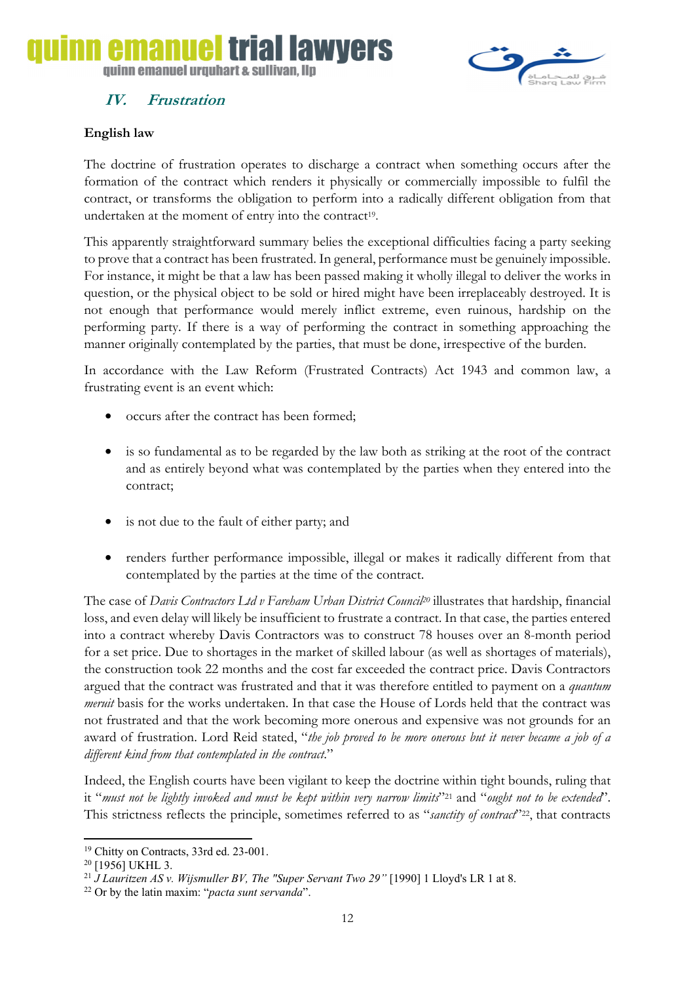# triai lawyers

quinn emanuel urquhart & sullivan. Ilp

## **IV. Frustration**



The doctrine of frustration operates to discharge a contract when something occurs after the formation of the contract which renders it physically or commercially impossible to fulfil the contract, or transforms the obligation to perform into a radically different obligation from that undertaken at the moment of entry into the contract<sup>19</sup>.

This apparently straightforward summary belies the exceptional difficulties facing a party seeking to prove that a contract has been frustrated. In general, performance must be genuinely impossible. For instance, it might be that a law has been passed making it wholly illegal to deliver the works in question, or the physical object to be sold or hired might have been irreplaceably destroyed. It is not enough that performance would merely inflict extreme, even ruinous, hardship on the performing party. If there is a way of performing the contract in something approaching the manner originally contemplated by the parties, that must be done, irrespective of the burden.

In accordance with the Law Reform (Frustrated Contracts) Act 1943 and common law, a frustrating event is an event which:

- occurs after the contract has been formed;
- is so fundamental as to be regarded by the law both as striking at the root of the contract and as entirely beyond what was contemplated by the parties when they entered into the contract;
- is not due to the fault of either party; and
- renders further performance impossible, illegal or makes it radically different from that contemplated by the parties at the time of the contract.

The case of *Davis Contractors Ltd v Fareham Urban District Council20* illustrates that hardship, financial loss, and even delay will likely be insufficient to frustrate a contract. In that case, the parties entered into a contract whereby Davis Contractors was to construct 78 houses over an 8-month period for a set price. Due to shortages in the market of skilled labour (as well as shortages of materials), the construction took 22 months and the cost far exceeded the contract price. Davis Contractors argued that the contract was frustrated and that it was therefore entitled to payment on a *quantum meruit* basis for the works undertaken. In that case the House of Lords held that the contract was not frustrated and that the work becoming more onerous and expensive was not grounds for an award of frustration. Lord Reid stated, "*the job proved to be more onerous but it never became a job of a different kind from that contemplated in the contract*."

Indeed, the English courts have been vigilant to keep the doctrine within tight bounds, ruling that it "*must not be lightly invoked and must be kept within very narrow limits*"21 and "*ought not to be extended*". This strictness reflects the principle, sometimes referred to as "sanctity of contract"<sup>222</sup>, that contracts

**.** 



<sup>19</sup> Chitty on Contracts, 33rd ed. 23-001.

<sup>20 [1956]</sup> UKHL 3.

<sup>21</sup> *J Lauritzen AS v. Wijsmuller BV, The "Super Servant Two 29"* [1990] 1 Lloyd's LR 1 at 8. 22 Or by the latin maxim: "*pacta sunt servanda*".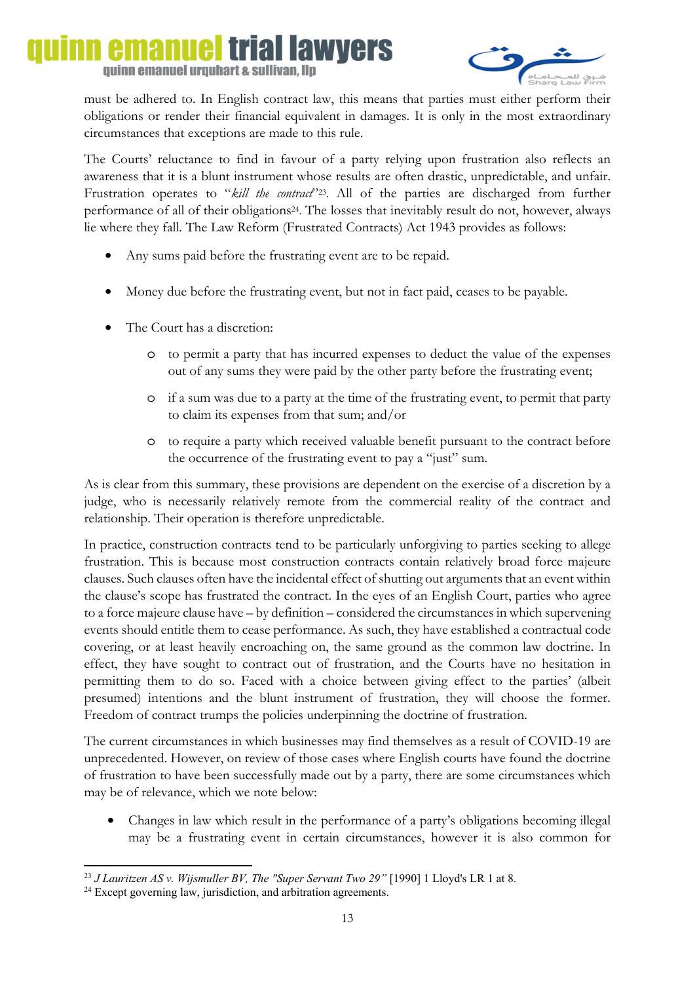# emanuel trial lawyers quinn emanuel urquhart & sullivan, llp



must be adhered to. In English contract law, this means that parties must either perform their obligations or render their financial equivalent in damages. It is only in the most extraordinary circumstances that exceptions are made to this rule.

The Courts' reluctance to find in favour of a party relying upon frustration also reflects an awareness that it is a blunt instrument whose results are often drastic, unpredictable, and unfair. Frustration operates to "kill the contract"<sup>223</sup>. All of the parties are discharged from further performance of all of their obligations24. The losses that inevitably result do not, however, always lie where they fall. The Law Reform (Frustrated Contracts) Act 1943 provides as follows:

- Any sums paid before the frustrating event are to be repaid.
- Money due before the frustrating event, but not in fact paid, ceases to be payable.
- The Court has a discretion:
	- o to permit a party that has incurred expenses to deduct the value of the expenses out of any sums they were paid by the other party before the frustrating event;
	- o if a sum was due to a party at the time of the frustrating event, to permit that party to claim its expenses from that sum; and/or
	- o to require a party which received valuable benefit pursuant to the contract before the occurrence of the frustrating event to pay a "just" sum.

As is clear from this summary, these provisions are dependent on the exercise of a discretion by a judge, who is necessarily relatively remote from the commercial reality of the contract and relationship. Their operation is therefore unpredictable.

In practice, construction contracts tend to be particularly unforgiving to parties seeking to allege frustration. This is because most construction contracts contain relatively broad force majeure clauses. Such clauses often have the incidental effect of shutting out arguments that an event within the clause's scope has frustrated the contract. In the eyes of an English Court, parties who agree to a force majeure clause have – by definition – considered the circumstances in which supervening events should entitle them to cease performance. As such, they have established a contractual code covering, or at least heavily encroaching on, the same ground as the common law doctrine. In effect, they have sought to contract out of frustration, and the Courts have no hesitation in permitting them to do so. Faced with a choice between giving effect to the parties' (albeit presumed) intentions and the blunt instrument of frustration, they will choose the former. Freedom of contract trumps the policies underpinning the doctrine of frustration.

The current circumstances in which businesses may find themselves as a result of COVID-19 are unprecedented. However, on review of those cases where English courts have found the doctrine of frustration to have been successfully made out by a party, there are some circumstances which may be of relevance, which we note below:

• Changes in law which result in the performance of a party's obligations becoming illegal may be a frustrating event in certain circumstances, however it is also common for

**<sup>.</sup>** <sup>23</sup> *J Lauritzen AS v. Wijsmuller BV, The "Super Servant Two 29"* [1990] 1 Lloyd's LR 1 at 8.<br><sup>24</sup> Except governing law, jurisdiction, and arbitration agreements.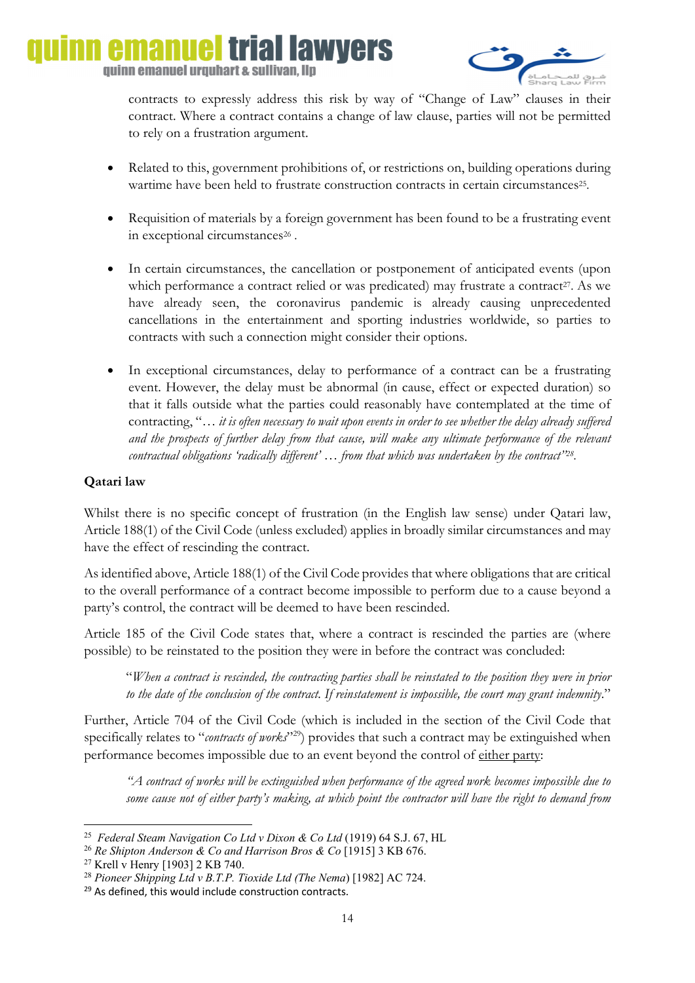

contracts to expressly address this risk by way of "Change of Law" clauses in their contract. Where a contract contains a change of law clause, parties will not be permitted to rely on a frustration argument.

- Related to this, government prohibitions of, or restrictions on, building operations during wartime have been held to frustrate construction contracts in certain circumstances<sup>25</sup>.
- Requisition of materials by a foreign government has been found to be a frustrating event in exceptional circumstances<sup>26</sup>.
- In certain circumstances, the cancellation or postponement of anticipated events (upon which performance a contract relied or was predicated) may frustrate a contract<sup>27</sup>. As we have already seen, the coronavirus pandemic is already causing unprecedented cancellations in the entertainment and sporting industries worldwide, so parties to contracts with such a connection might consider their options.
- In exceptional circumstances, delay to performance of a contract can be a frustrating event. However, the delay must be abnormal (in cause, effect or expected duration) so that it falls outside what the parties could reasonably have contemplated at the time of contracting, "… *it is often necessary to wait upon events in order to see whether the delay already suffered and the prospects of further delay from that cause, will make any ultimate performance of the relevant contractual obligations 'radically different' … from that which was undertaken by the contract"28.*

## **Qatari law**

Whilst there is no specific concept of frustration (in the English law sense) under Qatari law, Article 188(1) of the Civil Code (unless excluded) applies in broadly similar circumstances and may have the effect of rescinding the contract.

As identified above, Article 188(1) of the Civil Code provides that where obligations that are critical to the overall performance of a contract become impossible to perform due to a cause beyond a party's control, the contract will be deemed to have been rescinded.

Article 185 of the Civil Code states that, where a contract is rescinded the parties are (where possible) to be reinstated to the position they were in before the contract was concluded:

"*When a contract is rescinded, the contracting parties shall be reinstated to the position they were in prior to the date of the conclusion of the contract. If reinstatement is impossible, the court may grant indemnity*."

Further, Article 704 of the Civil Code (which is included in the section of the Civil Code that specifically relates to "*contracts of works*"<sup>29</sup>) provides that such a contract may be extinguished when performance becomes impossible due to an event beyond the control of either party:

*"A contract of works will be extinguished when performance of the agreed work becomes impossible due to some cause not of either party's making, at which point the contractor will have the right to demand from* 

**<sup>.</sup>** 25 *Federal Steam Navigation Co Ltd v Dixon & Co Ltd* (1919) 64 S.J. 67, HL

<sup>26</sup> *Re Shipton Anderson & Co and Harrison Bros & Co* [1915] 3 KB 676.

<sup>&</sup>lt;sup>27</sup> Krell v Henry [1903] 2 KB 740.

<sup>28</sup> *Pioneer Shipping Ltd v B.T.P. Tioxide Ltd (The Nema*) [1982] AC 724.

<sup>&</sup>lt;sup>29</sup> As defined, this would include construction contracts.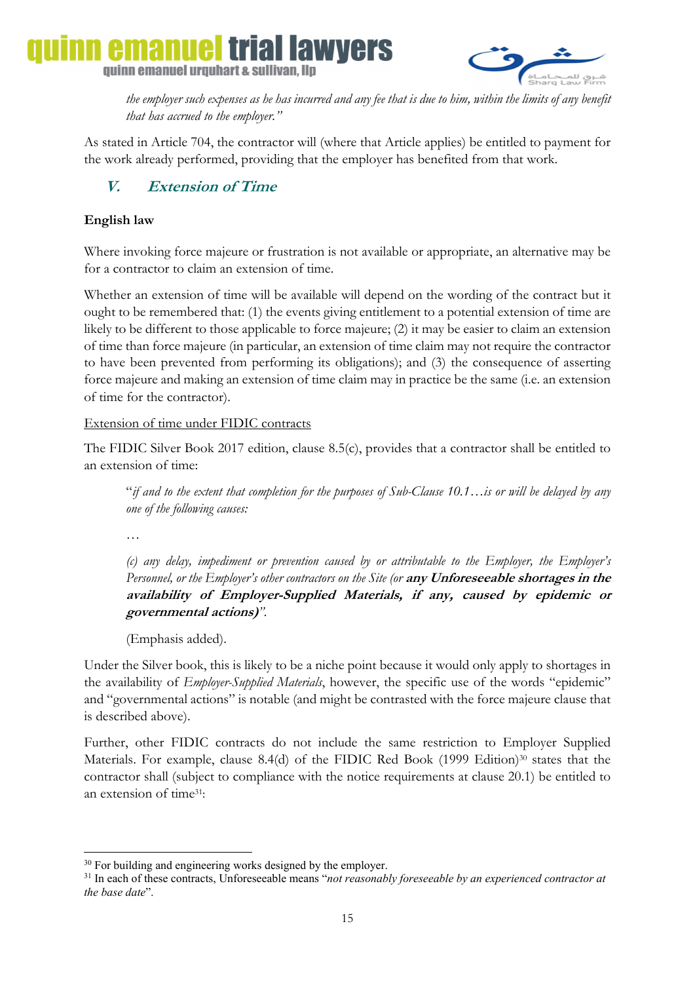iai lawyers quinn emanuel urquhart & sullivan, llp



*the employer such expenses as he has incurred and any fee that is due to him, within the limits of any benefit that has accrued to the employer."* 

As stated in Article 704, the contractor will (where that Article applies) be entitled to payment for the work already performed, providing that the employer has benefited from that work.

## **V. Extension of Time**

## **English law**

Where invoking force majeure or frustration is not available or appropriate, an alternative may be for a contractor to claim an extension of time.

Whether an extension of time will be available will depend on the wording of the contract but it ought to be remembered that: (1) the events giving entitlement to a potential extension of time are likely to be different to those applicable to force majeure; (2) it may be easier to claim an extension of time than force majeure (in particular, an extension of time claim may not require the contractor to have been prevented from performing its obligations); and (3) the consequence of asserting force majeure and making an extension of time claim may in practice be the same (i.e. an extension of time for the contractor).

## Extension of time under FIDIC contracts

The FIDIC Silver Book 2017 edition, clause 8.5(c), provides that a contractor shall be entitled to an extension of time:

"*if and to the extent that completion for the purposes of Sub-Clause 10.1…is or will be delayed by any one of the following causes:* 

*…* 

*(c) any delay, impediment or prevention caused by or attributable to the Employer, the Employer's Personnel, or the Employer's other contractors on the Site (or* **any Unforeseeable shortages in the availability of Employer-Supplied Materials, if any, caused by epidemic or governmental actions)***".* 

(Emphasis added).

Under the Silver book, this is likely to be a niche point because it would only apply to shortages in the availability of *Employer-Supplied Materials*, however, the specific use of the words "epidemic" and "governmental actions" is notable (and might be contrasted with the force majeure clause that is described above).

Further, other FIDIC contracts do not include the same restriction to Employer Supplied Materials. For example, clause 8.4(d) of the FIDIC Red Book (1999 Edition)<sup>30</sup> states that the contractor shall (subject to compliance with the notice requirements at clause 20.1) be entitled to an extension of time31:

<sup>1</sup> <sup>30</sup> For building and engineering works designed by the employer.

<sup>31</sup> In each of these contracts, Unforeseeable means "*not reasonably foreseeable by an experienced contractor at the base date*".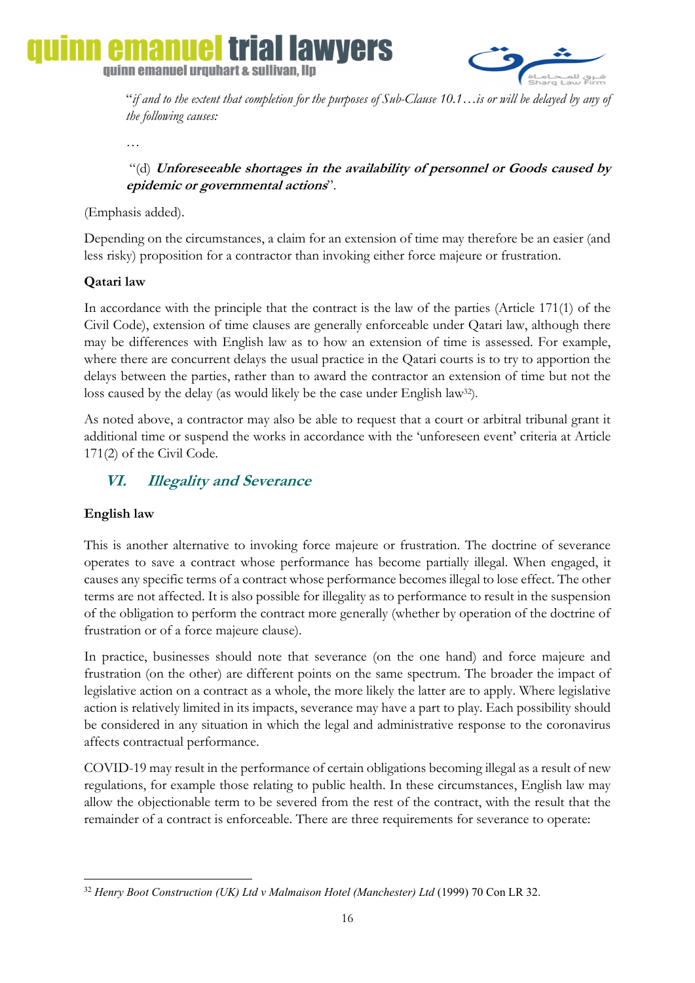

"*if and to the extent that completion for the purposes of Sub-Clause 10.1…is or will be delayed by any of the following causes:* 

…

 "(d) **Unforeseeable shortages in the availability of personnel or Goods caused by epidemic or governmental actions**".

(Emphasis added).

Depending on the circumstances, a claim for an extension of time may therefore be an easier (and less risky) proposition for a contractor than invoking either force majeure or frustration.

## **Qatari law**

In accordance with the principle that the contract is the law of the parties (Article 171(1) of the Civil Code), extension of time clauses are generally enforceable under Qatari law, although there may be differences with English law as to how an extension of time is assessed. For example, where there are concurrent delays the usual practice in the Qatari courts is to try to apportion the delays between the parties, rather than to award the contractor an extension of time but not the loss caused by the delay (as would likely be the case under English law<sup>32</sup>).

As noted above, a contractor may also be able to request that a court or arbitral tribunal grant it additional time or suspend the works in accordance with the 'unforeseen event' criteria at Article 171(2) of the Civil Code.

## **VI. Illegality and Severance**

## **English law**

This is another alternative to invoking force majeure or frustration. The doctrine of severance operates to save a contract whose performance has become partially illegal. When engaged, it causes any specific terms of a contract whose performance becomes illegal to lose effect. The other terms are not affected. It is also possible for illegality as to performance to result in the suspension of the obligation to perform the contract more generally (whether by operation of the doctrine of frustration or of a force majeure clause).

In practice, businesses should note that severance (on the one hand) and force majeure and frustration (on the other) are different points on the same spectrum. The broader the impact of legislative action on a contract as a whole, the more likely the latter are to apply. Where legislative action is relatively limited in its impacts, severance may have a part to play. Each possibility should be considered in any situation in which the legal and administrative response to the coronavirus affects contractual performance.

COVID-19 may result in the performance of certain obligations becoming illegal as a result of new regulations, for example those relating to public health. In these circumstances, English law may allow the objectionable term to be severed from the rest of the contract, with the result that the remainder of a contract is enforceable. There are three requirements for severance to operate:

**<sup>.</sup>** <sup>32</sup> *Henry Boot Construction (UK) Ltd v Malmaison Hotel (Manchester) Ltd* (1999) 70 Con LR 32.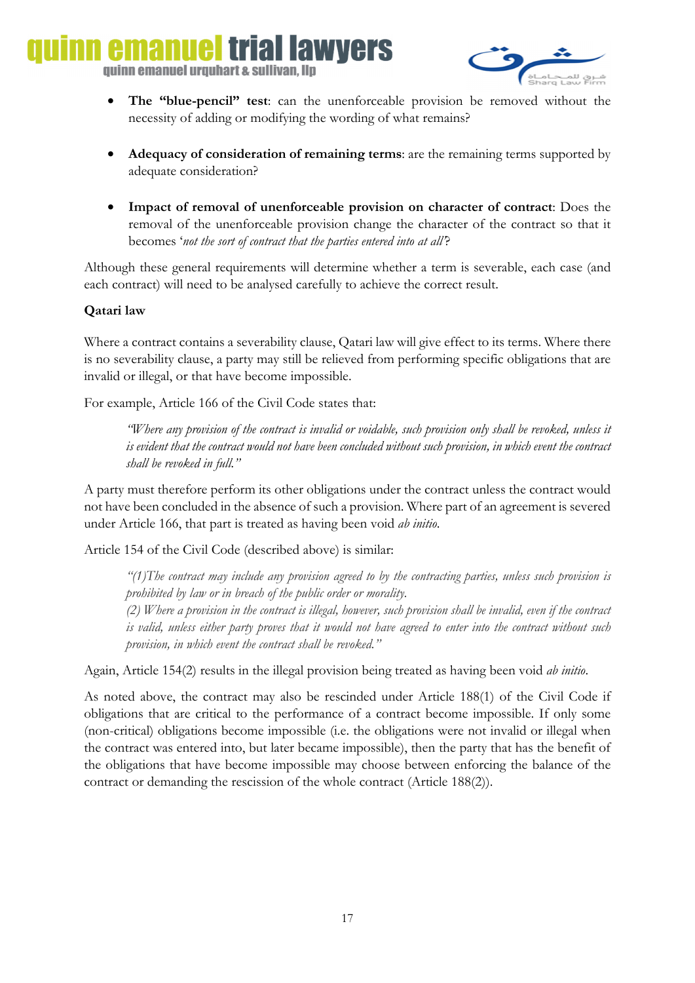lai lawvers quinn emanuel urquhart & sullivan, llp



- **The "blue-pencil" test**: can the unenforceable provision be removed without the necessity of adding or modifying the wording of what remains?
- **Adequacy of consideration of remaining terms**: are the remaining terms supported by adequate consideration?
- **Impact of removal of unenforceable provision on character of contract**: Does the removal of the unenforceable provision change the character of the contract so that it becomes '*not the sort of contract that the parties entered into at all'*?

Although these general requirements will determine whether a term is severable, each case (and each contract) will need to be analysed carefully to achieve the correct result.

### **Qatari law**

Where a contract contains a severability clause, Qatari law will give effect to its terms. Where there is no severability clause, a party may still be relieved from performing specific obligations that are invalid or illegal, or that have become impossible.

For example, Article 166 of the Civil Code states that:

*"Where any provision of the contract is invalid or voidable, such provision only shall be revoked, unless it is evident that the contract would not have been concluded without such provision, in which event the contract shall be revoked in full."* 

A party must therefore perform its other obligations under the contract unless the contract would not have been concluded in the absence of such a provision. Where part of an agreement is severed under Article 166, that part is treated as having been void *ab initio*.

Article 154 of the Civil Code (described above) is similar:

*"(1)The contract may include any provision agreed to by the contracting parties, unless such provision is prohibited by law or in breach of the public order or morality.* 

*(2) Where a provision in the contract is illegal, however, such provision shall be invalid, even if the contract is valid, unless either party proves that it would not have agreed to enter into the contract without such provision, in which event the contract shall be revoked."* 

Again, Article 154(2) results in the illegal provision being treated as having been void *ab initio*.

As noted above, the contract may also be rescinded under Article 188(1) of the Civil Code if obligations that are critical to the performance of a contract become impossible. If only some (non-critical) obligations become impossible (i.e. the obligations were not invalid or illegal when the contract was entered into, but later became impossible), then the party that has the benefit of the obligations that have become impossible may choose between enforcing the balance of the contract or demanding the rescission of the whole contract (Article 188(2)).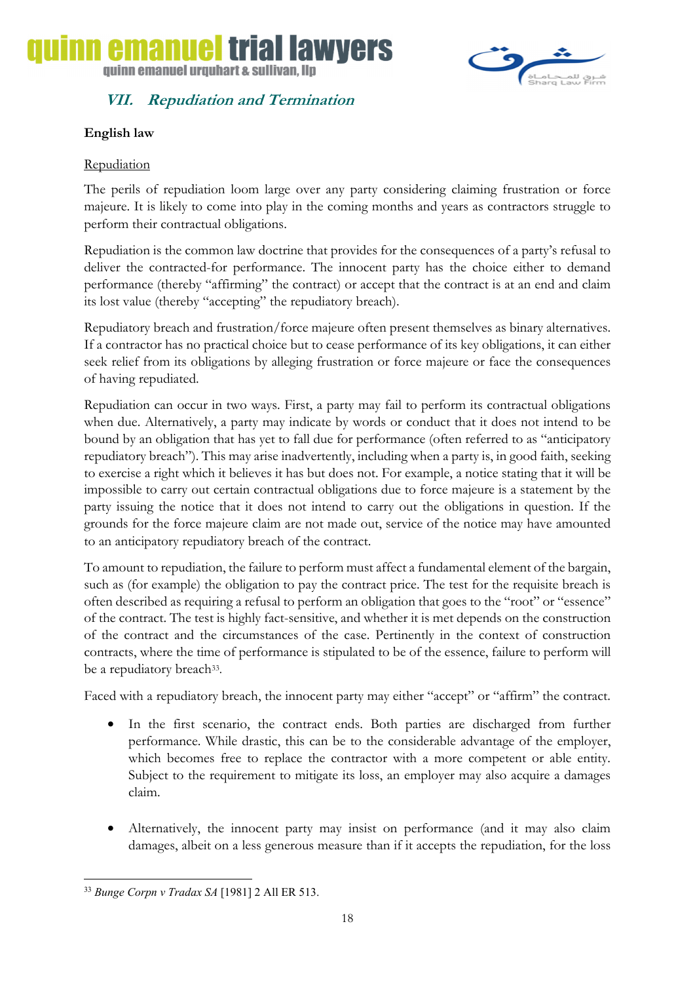



## **VII. Repudiation and Termination**

## **English law**

## **Repudiation**

The perils of repudiation loom large over any party considering claiming frustration or force majeure. It is likely to come into play in the coming months and years as contractors struggle to perform their contractual obligations.

Repudiation is the common law doctrine that provides for the consequences of a party's refusal to deliver the contracted-for performance. The innocent party has the choice either to demand performance (thereby "affirming" the contract) or accept that the contract is at an end and claim its lost value (thereby "accepting" the repudiatory breach).

Repudiatory breach and frustration/force majeure often present themselves as binary alternatives. If a contractor has no practical choice but to cease performance of its key obligations, it can either seek relief from its obligations by alleging frustration or force majeure or face the consequences of having repudiated.

Repudiation can occur in two ways. First, a party may fail to perform its contractual obligations when due. Alternatively, a party may indicate by words or conduct that it does not intend to be bound by an obligation that has yet to fall due for performance (often referred to as "anticipatory repudiatory breach"). This may arise inadvertently, including when a party is, in good faith, seeking to exercise a right which it believes it has but does not. For example, a notice stating that it will be impossible to carry out certain contractual obligations due to force majeure is a statement by the party issuing the notice that it does not intend to carry out the obligations in question. If the grounds for the force majeure claim are not made out, service of the notice may have amounted to an anticipatory repudiatory breach of the contract.

To amount to repudiation, the failure to perform must affect a fundamental element of the bargain, such as (for example) the obligation to pay the contract price. The test for the requisite breach is often described as requiring a refusal to perform an obligation that goes to the "root" or "essence" of the contract. The test is highly fact-sensitive, and whether it is met depends on the construction of the contract and the circumstances of the case. Pertinently in the context of construction contracts, where the time of performance is stipulated to be of the essence, failure to perform will be a repudiatory breach<sup>33</sup>.

Faced with a repudiatory breach, the innocent party may either "accept" or "affirm" the contract.

- In the first scenario, the contract ends. Both parties are discharged from further performance. While drastic, this can be to the considerable advantage of the employer, which becomes free to replace the contractor with a more competent or able entity. Subject to the requirement to mitigate its loss, an employer may also acquire a damages claim.
- Alternatively, the innocent party may insist on performance (and it may also claim damages, albeit on a less generous measure than if it accepts the repudiation, for the loss

**<sup>.</sup>** <sup>33</sup> *Bunge Corpn v Tradax SA* [1981] 2 All ER 513.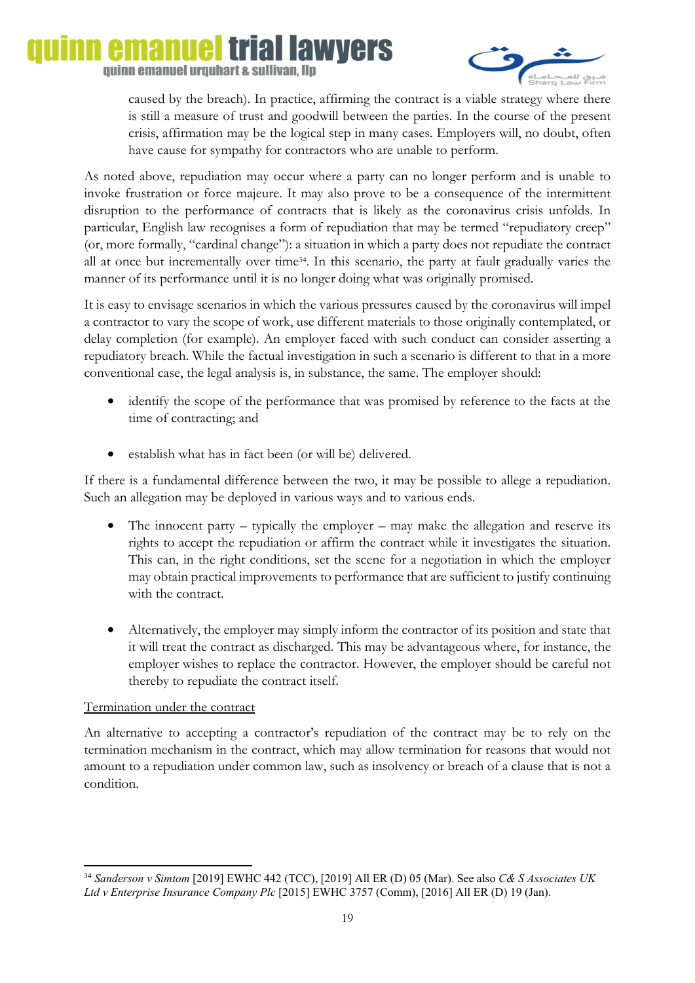### emanuel **trial lawyers** quinn emanuel urquhart & sullivan, llp



caused by the breach). In practice, affirming the contract is a viable strategy where there is still a measure of trust and goodwill between the parties. In the course of the present crisis, affirmation may be the logical step in many cases. Employers will, no doubt, often have cause for sympathy for contractors who are unable to perform.

As noted above, repudiation may occur where a party can no longer perform and is unable to invoke frustration or force majeure. It may also prove to be a consequence of the intermittent disruption to the performance of contracts that is likely as the coronavirus crisis unfolds. In particular, English law recognises a form of repudiation that may be termed "repudiatory creep" (or, more formally, "cardinal change"): a situation in which a party does not repudiate the contract all at once but incrementally over time34. In this scenario, the party at fault gradually varies the manner of its performance until it is no longer doing what was originally promised.

It is easy to envisage scenarios in which the various pressures caused by the coronavirus will impel a contractor to vary the scope of work, use different materials to those originally contemplated, or delay completion (for example). An employer faced with such conduct can consider asserting a repudiatory breach. While the factual investigation in such a scenario is different to that in a more conventional case, the legal analysis is, in substance, the same. The employer should:

- identify the scope of the performance that was promised by reference to the facts at the time of contracting; and
- establish what has in fact been (or will be) delivered.

If there is a fundamental difference between the two, it may be possible to allege a repudiation. Such an allegation may be deployed in various ways and to various ends.

- The innocent party typically the employer may make the allegation and reserve its rights to accept the repudiation or affirm the contract while it investigates the situation. This can, in the right conditions, set the scene for a negotiation in which the employer may obtain practical improvements to performance that are sufficient to justify continuing with the contract.
- Alternatively, the employer may simply inform the contractor of its position and state that it will treat the contract as discharged. This may be advantageous where, for instance, the employer wishes to replace the contractor. However, the employer should be careful not thereby to repudiate the contract itself.

## Termination under the contract

An alternative to accepting a contractor's repudiation of the contract may be to rely on the termination mechanism in the contract, which may allow termination for reasons that would not amount to a repudiation under common law, such as insolvency or breach of a clause that is not a condition.

**<sup>.</sup>** <sup>34</sup> *Sanderson v Simtom* [2019] EWHC 442 (TCC), [2019] All ER (D) 05 (Mar). See also *C& S Associates UK Ltd v Enterprise Insurance Company Plc* [2015] EWHC 3757 (Comm), [2016] All ER (D) 19 (Jan).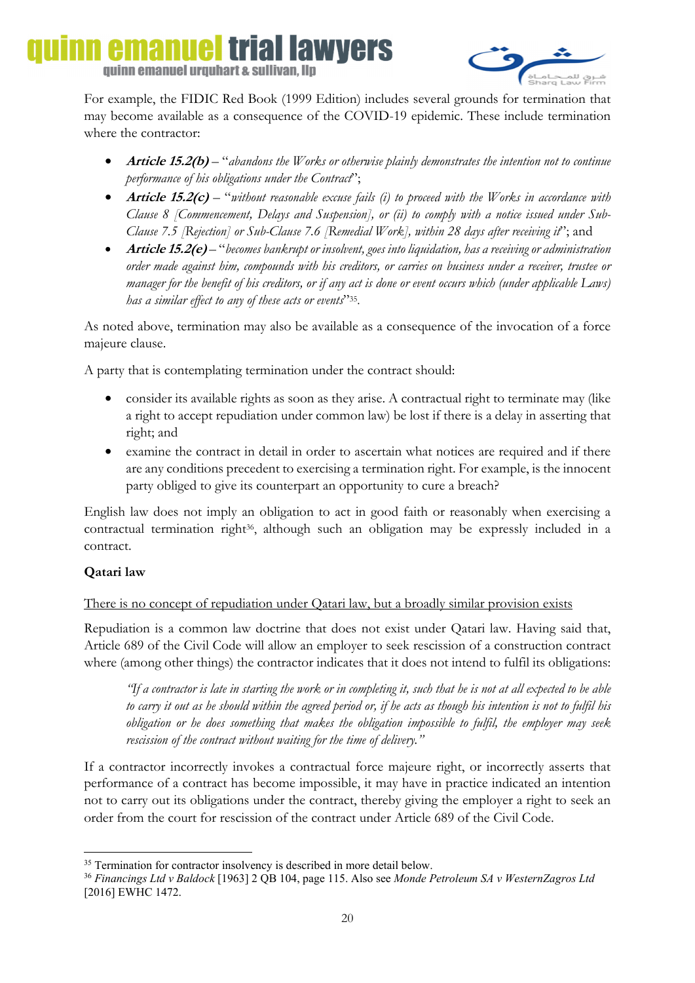### emanue trial lawyers quinn emanuel urquhart & sullivan, llp



For example, the FIDIC Red Book (1999 Edition) includes several grounds for termination that may become available as a consequence of the COVID-19 epidemic. These include termination where the contractor:

- **Article 15.2(b)** "*abandons the Works or otherwise plainly demonstrates the intention not to continue performance of his obligations under the Contract*";
- **Article 15.2(c)** "*without reasonable excuse fails (i) to proceed with the Works in accordance with Clause 8 [Commencement, Delays and Suspension], or (ii) to comply with a notice issued under Sub-Clause 7.5 [Rejection] or Sub-Clause 7.6 [Remedial Work], within 28 days after receiving it*'; and
- **Article 15.2(e)** "*becomes bankrupt or insolvent, goes into liquidation, has a receiving or administration order made against him, compounds with his creditors, or carries on business under a receiver, trustee or manager for the benefit of his creditors, or if any act is done or event occurs which (under applicable Laws) has a similar effect to any of these acts or events*"35.

As noted above, termination may also be available as a consequence of the invocation of a force majeure clause.

A party that is contemplating termination under the contract should:

- consider its available rights as soon as they arise. A contractual right to terminate may (like a right to accept repudiation under common law) be lost if there is a delay in asserting that right; and
- examine the contract in detail in order to ascertain what notices are required and if there are any conditions precedent to exercising a termination right. For example, is the innocent party obliged to give its counterpart an opportunity to cure a breach?

English law does not imply an obligation to act in good faith or reasonably when exercising a contractual termination right<sup>36</sup>, although such an obligation may be expressly included in a contract.

## **Qatari law**

## There is no concept of repudiation under Qatari law, but a broadly similar provision exists

Repudiation is a common law doctrine that does not exist under Qatari law. Having said that, Article 689 of the Civil Code will allow an employer to seek rescission of a construction contract where (among other things) the contractor indicates that it does not intend to fulfil its obligations:

*"If a contractor is late in starting the work or in completing it, such that he is not at all expected to be able to carry it out as he should within the agreed period or, if he acts as though his intention is not to fulfil his obligation or he does something that makes the obligation impossible to fulfil, the employer may seek rescission of the contract without waiting for the time of delivery."* 

If a contractor incorrectly invokes a contractual force majeure right, or incorrectly asserts that performance of a contract has become impossible, it may have in practice indicated an intention not to carry out its obligations under the contract, thereby giving the employer a right to seek an order from the court for rescission of the contract under Article 689 of the Civil Code.

<sup>1</sup> <sup>35</sup> Termination for contractor insolvency is described in more detail below.

<sup>36</sup> *Financings Ltd v Baldock* [1963] 2 QB 104, page 115. Also see *Monde Petroleum SA v WesternZagros Ltd* [2016] EWHC 1472.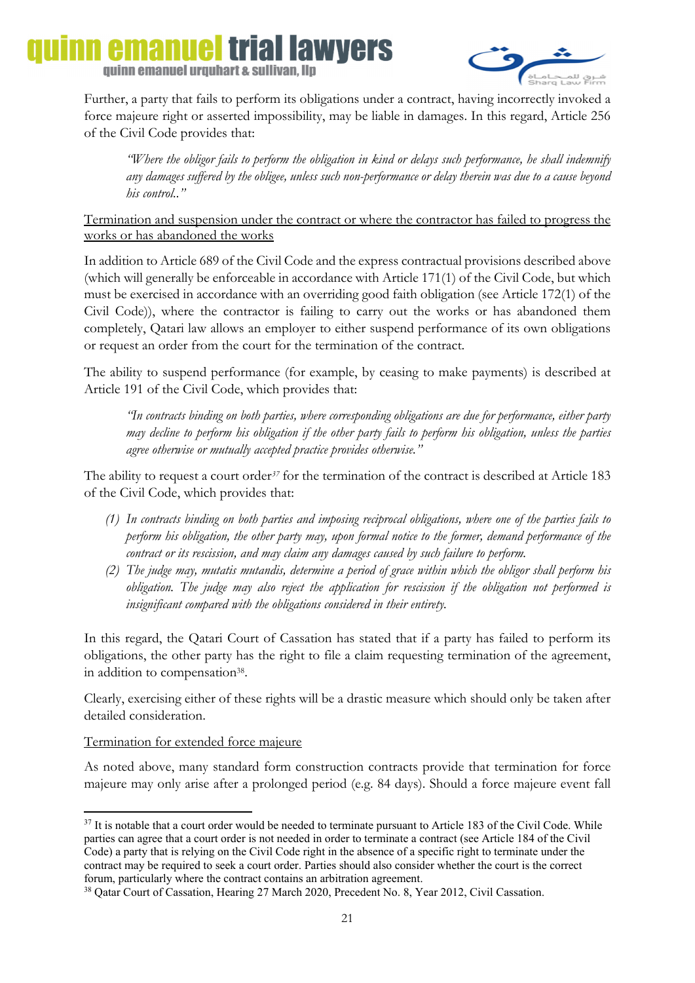# emanuel trial lawvers quinn emanuel urquhart & sullivan, llp



Further, a party that fails to perform its obligations under a contract, having incorrectly invoked a force majeure right or asserted impossibility, may be liable in damages. In this regard, Article 256 of the Civil Code provides that:

*"Where the obligor fails to perform the obligation in kind or delays such performance, he shall indemnify any damages suffered by the obligee, unless such non-performance or delay therein was due to a cause beyond his control.."* 

Termination and suspension under the contract or where the contractor has failed to progress the works or has abandoned the works

In addition to Article 689 of the Civil Code and the express contractual provisions described above (which will generally be enforceable in accordance with Article 171(1) of the Civil Code, but which must be exercised in accordance with an overriding good faith obligation (see Article 172(1) of the Civil Code)), where the contractor is failing to carry out the works or has abandoned them completely, Qatari law allows an employer to either suspend performance of its own obligations or request an order from the court for the termination of the contract.

The ability to suspend performance (for example, by ceasing to make payments) is described at Article 191 of the Civil Code, which provides that:

*"In contracts binding on both parties, where corresponding obligations are due for performance, either party may decline to perform his obligation if the other party fails to perform his obligation, unless the parties agree otherwise or mutually accepted practice provides otherwise."* 

The ability to request a court order*<sup>37</sup>* for the termination of the contract is described at Article 183 of the Civil Code, which provides that:

- *(1) In contracts binding on both parties and imposing reciprocal obligations, where one of the parties fails to perform his obligation, the other party may, upon formal notice to the former, demand performance of the contract or its rescission, and may claim any damages caused by such failure to perform.*
- *(2) The judge may, mutatis mutandis, determine a period of grace within which the obligor shall perform his obligation. The judge may also reject the application for rescission if the obligation not performed is insignificant compared with the obligations considered in their entirety.*

In this regard, the Qatari Court of Cassation has stated that if a party has failed to perform its obligations, the other party has the right to file a claim requesting termination of the agreement, in addition to compensation<sup>38</sup>.

Clearly, exercising either of these rights will be a drastic measure which should only be taken after detailed consideration.

## Termination for extended force majeure

As noted above, many standard form construction contracts provide that termination for force majeure may only arise after a prolonged period (e.g. 84 days). Should a force majeure event fall

**<sup>.</sup>**  $37$  It is notable that a court order would be needed to terminate pursuant to Article 183 of the Civil Code. While parties can agree that a court order is not needed in order to terminate a contract (see Article 184 of the Civil Code) a party that is relying on the Civil Code right in the absence of a specific right to terminate under the contract may be required to seek a court order. Parties should also consider whether the court is the correct forum, particularly where the contract contains an arbitration agreement.

<sup>38</sup> Qatar Court of Cassation, Hearing 27 March 2020, Precedent No. 8, Year 2012, Civil Cassation.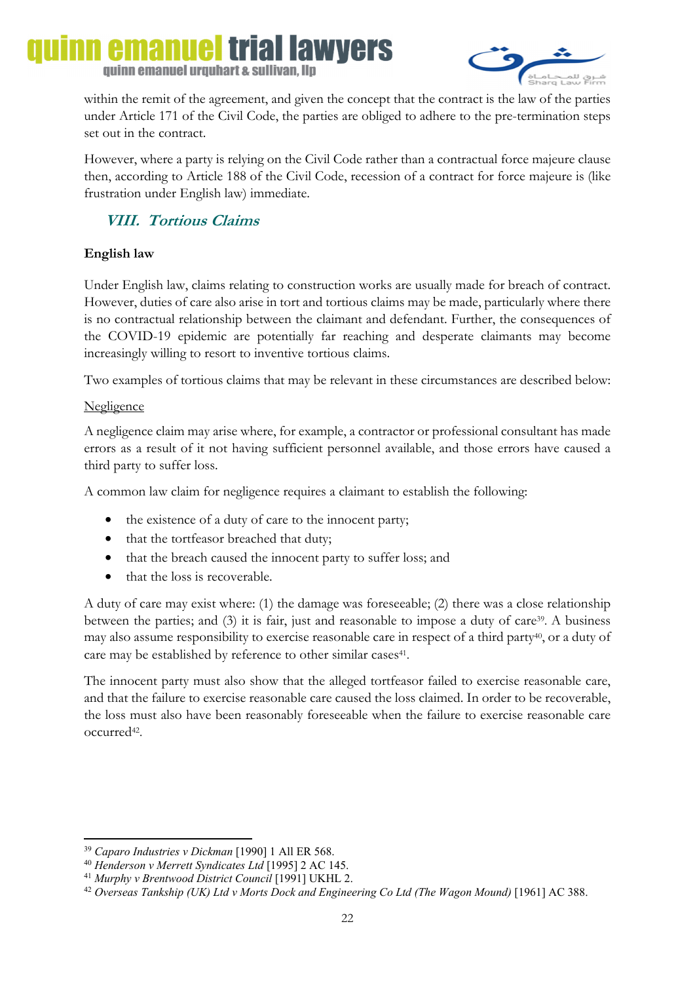## emanuel trial lawyers quinn emanuel urquhart & sullivan, llp



within the remit of the agreement, and given the concept that the contract is the law of the parties under Article 171 of the Civil Code, the parties are obliged to adhere to the pre-termination steps set out in the contract.

However, where a party is relying on the Civil Code rather than a contractual force majeure clause then, according to Article 188 of the Civil Code, recession of a contract for force majeure is (like frustration under English law) immediate.

## **VIII. Tortious Claims**

## **English law**

Under English law, claims relating to construction works are usually made for breach of contract. However, duties of care also arise in tort and tortious claims may be made, particularly where there is no contractual relationship between the claimant and defendant. Further, the consequences of the COVID-19 epidemic are potentially far reaching and desperate claimants may become increasingly willing to resort to inventive tortious claims.

Two examples of tortious claims that may be relevant in these circumstances are described below:

## **Negligence**

A negligence claim may arise where, for example, a contractor or professional consultant has made errors as a result of it not having sufficient personnel available, and those errors have caused a third party to suffer loss.

A common law claim for negligence requires a claimant to establish the following:

- the existence of a duty of care to the innocent party;
- that the tortfeasor breached that duty;
- that the breach caused the innocent party to suffer loss; and
- that the loss is recoverable.

A duty of care may exist where: (1) the damage was foreseeable; (2) there was a close relationship between the parties; and (3) it is fair, just and reasonable to impose a duty of care<sup>39</sup>. A business may also assume responsibility to exercise reasonable care in respect of a third party<sup>40</sup>, or a duty of care may be established by reference to other similar cases<sup>41</sup>.

The innocent party must also show that the alleged tortfeasor failed to exercise reasonable care, and that the failure to exercise reasonable care caused the loss claimed. In order to be recoverable, the loss must also have been reasonably foreseeable when the failure to exercise reasonable care occurred42.

**<sup>.</sup>** <sup>39</sup> *Caparo Industries v Dickman* [1990] 1 All ER 568.

<sup>&</sup>lt;sup>41</sup> Murphy v Brentwood District Council [1991] UKHL 2.<br><sup>42</sup> Overseas Tankship (UK) Ltd v Morts Dock and Engineering Co Ltd (The Wagon Mound) [1961] AC 388.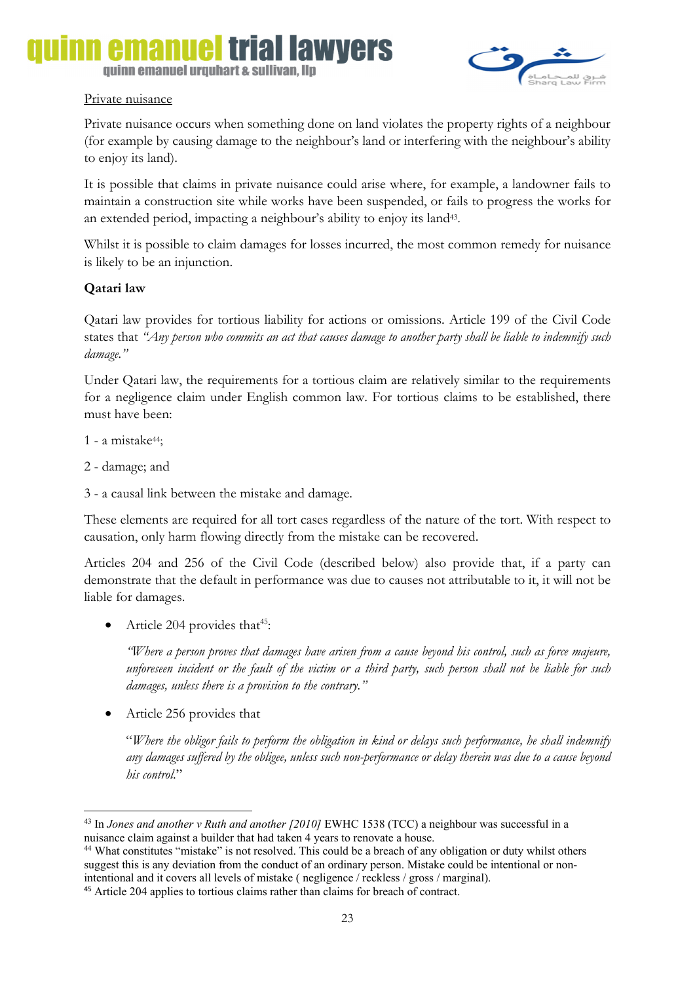## emanue THAI IAWNAI'S quinn emanuel urquhart & sullivan, llp

## Private nuisance

Private nuisance occurs when something done on land violates the property rights of a neighbour (for example by causing damage to the neighbour's land or interfering with the neighbour's ability to enjoy its land).

It is possible that claims in private nuisance could arise where, for example, a landowner fails to maintain a construction site while works have been suspended, or fails to progress the works for an extended period, impacting a neighbour's ability to enjoy its land43.

Whilst it is possible to claim damages for losses incurred, the most common remedy for nuisance is likely to be an injunction.

## **Qatari law**

Qatari law provides for tortious liability for actions or omissions. Article 199 of the Civil Code states that *"Any person who commits an act that causes damage to another party shall be liable to indemnify such damage."*

Under Qatari law, the requirements for a tortious claim are relatively similar to the requirements for a negligence claim under English common law. For tortious claims to be established, there must have been:

- 1 a mistake44;
- 2 damage; and

1

3 - a causal link between the mistake and damage.

These elements are required for all tort cases regardless of the nature of the tort. With respect to causation, only harm flowing directly from the mistake can be recovered.

Articles 204 and 256 of the Civil Code (described below) also provide that, if a party can demonstrate that the default in performance was due to causes not attributable to it, it will not be liable for damages.

Article 204 provides that<sup>45</sup>:

*"Where a person proves that damages have arisen from a cause beyond his control, such as force majeure, unforeseen incident or the fault of the victim or a third party, such person shall not be liable for such damages, unless there is a provision to the contrary."* 

• Article 256 provides that

"*Where the obligor fails to perform the obligation in kind or delays such performance, he shall indemnify any damages suffered by the obligee, unless such non-performance or delay therein was due to a cause beyond his control*."

<sup>43</sup> In *Jones and another v Ruth and another [2010]* EWHC 1538 (TCC) a neighbour was successful in a nuisance claim against a builder that had taken 4 years to renovate a house.<br><sup>44</sup> What constitutes "mistake" is not resolved. This could be a breach of any obligation or duty whilst others

suggest this is any deviation from the conduct of an ordinary person. Mistake could be intentional or nonintentional and it covers all levels of mistake ( negligence / reckless / gross / marginal).

<sup>45</sup> Article 204 applies to tortious claims rather than claims for breach of contract.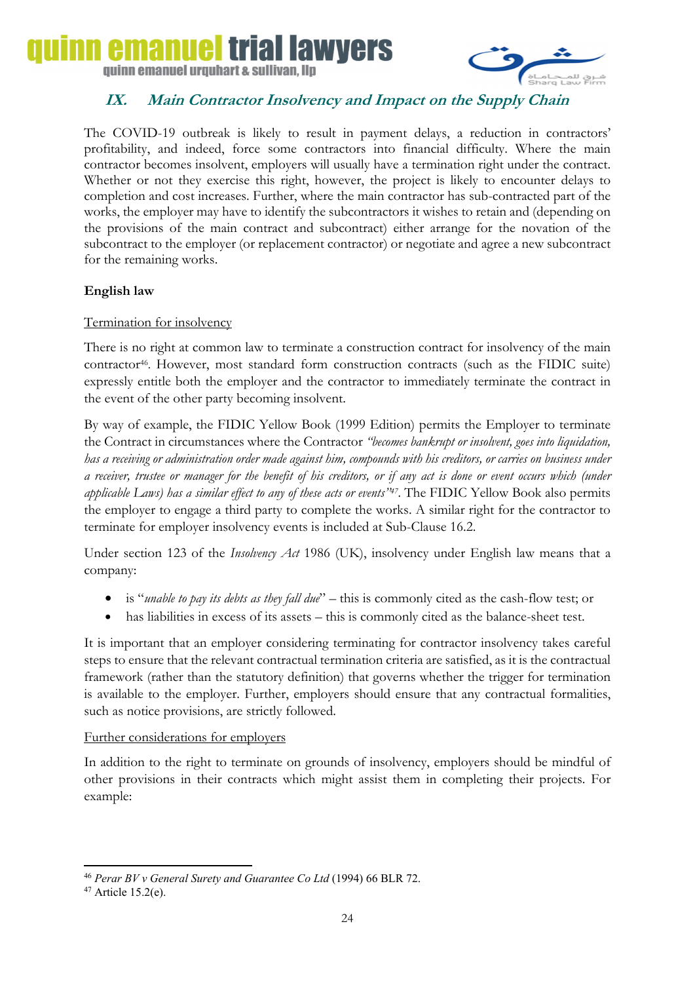



## **IX. Main Contractor Insolvency and Impact on the Supply Chain**

The COVID-19 outbreak is likely to result in payment delays, a reduction in contractors' profitability, and indeed, force some contractors into financial difficulty. Where the main contractor becomes insolvent, employers will usually have a termination right under the contract. Whether or not they exercise this right, however, the project is likely to encounter delays to completion and cost increases. Further, where the main contractor has sub-contracted part of the works, the employer may have to identify the subcontractors it wishes to retain and (depending on the provisions of the main contract and subcontract) either arrange for the novation of the subcontract to the employer (or replacement contractor) or negotiate and agree a new subcontract for the remaining works.

## **English law**

### Termination for insolvency

There is no right at common law to terminate a construction contract for insolvency of the main contractor<sup>46</sup>. However, most standard form construction contracts (such as the FIDIC suite) expressly entitle both the employer and the contractor to immediately terminate the contract in the event of the other party becoming insolvent.

By way of example, the FIDIC Yellow Book (1999 Edition) permits the Employer to terminate the Contract in circumstances where the Contractor *"becomes bankrupt or insolvent, goes into liquidation, has a receiving or administration order made against him, compounds with his creditors, or carries on business under a receiver, trustee or manager for the benefit of his creditors, or if any act is done or event occurs which (under applicable Laws) has a similar effect to any of these acts or events"47.* The FIDIC Yellow Book also permits the employer to engage a third party to complete the works. A similar right for the contractor to terminate for employer insolvency events is included at Sub-Clause 16.2.

Under section 123 of the *Insolvency Act* 1986 (UK), insolvency under English law means that a company:

- is "*unable to pay its debts as they fall due*" this is commonly cited as the cash-flow test; or
- has liabilities in excess of its assets this is commonly cited as the balance-sheet test.

It is important that an employer considering terminating for contractor insolvency takes careful steps to ensure that the relevant contractual termination criteria are satisfied, as it is the contractual framework (rather than the statutory definition) that governs whether the trigger for termination is available to the employer. Further, employers should ensure that any contractual formalities, such as notice provisions, are strictly followed.

#### Further considerations for employers

In addition to the right to terminate on grounds of insolvency, employers should be mindful of other provisions in their contracts which might assist them in completing their projects. For example:

**.** <sup>46</sup> *Perar BV v General Surety and Guarantee Co Ltd* (1994) 66 BLR 72.

<sup>47</sup> Article 15.2(e).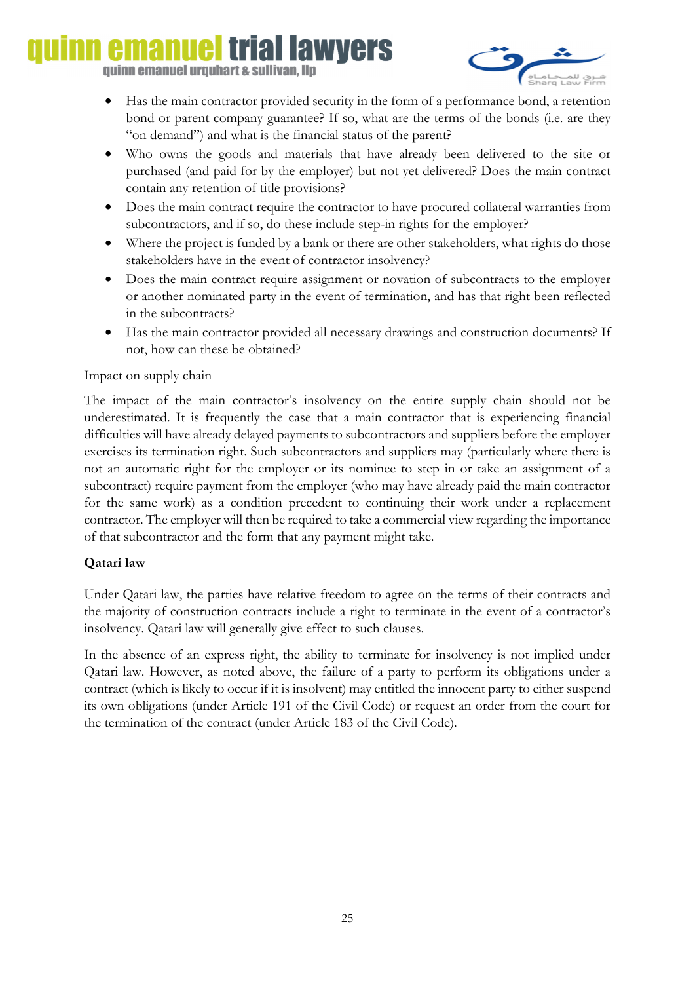## iai lawvers quinn emanuel urquhart & sullivan, llp



- Has the main contractor provided security in the form of a performance bond, a retention bond or parent company guarantee? If so, what are the terms of the bonds (i.e. are they "on demand") and what is the financial status of the parent?
- Who owns the goods and materials that have already been delivered to the site or purchased (and paid for by the employer) but not yet delivered? Does the main contract contain any retention of title provisions?
- Does the main contract require the contractor to have procured collateral warranties from subcontractors, and if so, do these include step-in rights for the employer?
- Where the project is funded by a bank or there are other stakeholders, what rights do those stakeholders have in the event of contractor insolvency?
- Does the main contract require assignment or novation of subcontracts to the employer or another nominated party in the event of termination, and has that right been reflected in the subcontracts?
- Has the main contractor provided all necessary drawings and construction documents? If not, how can these be obtained?

### Impact on supply chain

The impact of the main contractor's insolvency on the entire supply chain should not be underestimated. It is frequently the case that a main contractor that is experiencing financial difficulties will have already delayed payments to subcontractors and suppliers before the employer exercises its termination right. Such subcontractors and suppliers may (particularly where there is not an automatic right for the employer or its nominee to step in or take an assignment of a subcontract) require payment from the employer (who may have already paid the main contractor for the same work) as a condition precedent to continuing their work under a replacement contractor. The employer will then be required to take a commercial view regarding the importance of that subcontractor and the form that any payment might take.

## **Qatari law**

Under Qatari law, the parties have relative freedom to agree on the terms of their contracts and the majority of construction contracts include a right to terminate in the event of a contractor's insolvency. Qatari law will generally give effect to such clauses.

In the absence of an express right, the ability to terminate for insolvency is not implied under Qatari law. However, as noted above, the failure of a party to perform its obligations under a contract (which is likely to occur if it is insolvent) may entitled the innocent party to either suspend its own obligations (under Article 191 of the Civil Code) or request an order from the court for the termination of the contract (under Article 183 of the Civil Code).